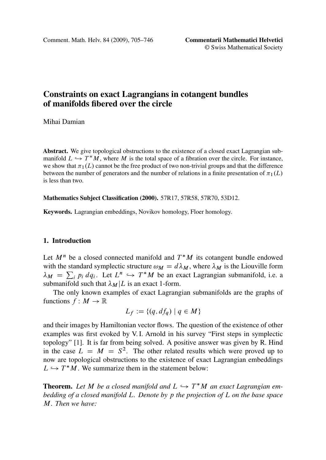Comment. Math. Helv. 84 (2009), 705–746 **Commentarii Mathematici Helvetici**

© Swiss Mathematical Society

# **Constraints on exact Lagrangians in cotangent bundles of manifolds fibered over the circle**

# Mihai Damian

**Abstract.** We give topological obstructions to the existence of a closed exact Lagrangian submanifold  $L \hookrightarrow T^*M$ , where M is the total space of a fibration over the circle. For instance,<br>we show that  $\pi_1(L)$  cannot be the free product of two pop-trivial groups and that the difference we show that  $\pi_1(L)$  cannot be the free product of two non-trivial groups and that the difference<br>between the number of concreters and the number of relations in a finite presentation of  $\pi_1(L)$ between the number of generators and the number of relations in a finite presentation of  $\pi_1(L)$ is less than two.

#### **Mathematics Subject Classification (2000).** 57R17, 57R58, 57R70, 53D12.

**Keywords.** Lagrangian embeddings, Novikov homology, Floer homology.

# **1. Introduction**

Let  $M^n$  be a closed connected manifold and  $T^*M$  its cotangent bundle endowed with the st[and](#page-40-0)ard symplectic structure  $\omega_M = d\lambda_M$ , where  $\lambda_M$  is the Liouville form  $\lambda_M = \sum_i p_i dq_i$ . Let  $L^n \hookrightarrow T^*M$  be an exact Lagrangian submanifold, i.e. a submanifold such that  $\lambda_M/I$  is an exact 1-form submanifold such that  $\lambda_M |L$  is an exact 1-form.

The only known examples of exact Lagrangian submanifolds are the graphs of functions  $f : M \to \mathbb{R}$ 

$$
L_f := \{(q, df_q) \mid q \in M\}
$$

and their images by Hamiltonian vector flows. The question of the existence of other examples was first evoked by V. I. Arnold in his survey "First steps in symplectic topology" [1]. It is far from being solved. A positive answer was given by R. Hind in the case  $L = M = S^2$ . The other related results which were proved up to now are topological obstructions to the existence of exact Lagrangian embeddings  $L \hookrightarrow T^*M$ . We summarize them in the statement below:

**Theorem.** Let M be a closed manifold and  $L \hookrightarrow T^*M$  an exact Lagrangian em-<br>hedding of a closed manifold L. Denote by n the projection of L on the base space *bedding of a closed manifold* L*. Denote by* p *the projection of* L *on the base space* M*. Then we have:*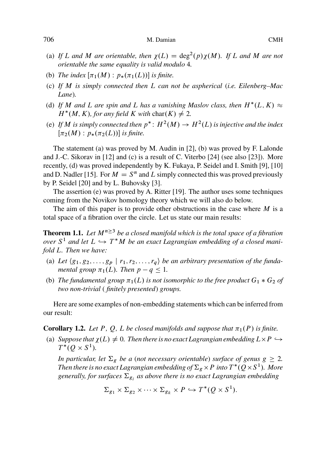- (a) If L and M are orientable, then  $\chi(L) = \deg^2(p)\chi(M)$ . If L and M are not *orientable the same equality is valid modulo* 4*.*
- (b) *The index*  $[\pi_1(M) : p_*(\pi_1(L))]$  *is finite.*
- (c) *If* M *is simply [con](#page-41-0)nected then* L *can not be asphe[rica](#page-41-0)l* (*i.e. Eil[enbe](#page-41-0)[rg](#page-40-0)–[Mac](#page-40-0) Lane*)*.*
- (d) If M a[nd](#page-41-0) [L](#page-41-0) are spin and L has [a v](#page-40-0)anishing Maslov class, then  $H^*(L, K) \approx$ <br> $H^*(M, K)$  for any field K with char(K)  $\neq$  2  $H^*(M, K)$ , for any field K with char $(K) \neq 2$ .
- (e) If M is simply connected then  $p^*: H^2(M) \to H^2(L)$  is injective and the index  $\pi_2(M): n$  ( $\pi_2(L)$ )) is finite  $[\pi_2(M) : p_*(\pi_2(L))]$  *is finite.*

The statement (a) was proved by M. Audin in [2], (b) was proved by F. Lalonde and J.-C. Sikorav in [12] and (c) is a result of C. Viterbo [24] (see also [23]). More recently, (d) was proved independently by K. Fukaya, P. Seidel and I. Smith [9], [10] and D. Nadler [15]. For  $M = S<sup>n</sup>$  and L simply connected this was proved previously by P. Seidel [20] and by L. Buhovsky [3].

The assertion (e) was proved by A. Ritter [19]. The author uses some techniques coming from the Novikov homology theory which we will also do below.

The aim of this paper is to provide other obstructions in the case where  $M$  is a total space of a fibration over the circle. Let us state our main results:

**Theorem 1.1.** Let  $M^{n\geq3}$  be a closed manifold which is the total space of a fibration *over*  $S^1$  and let  $L \hookrightarrow T^*M$  *be an exact Lagrangian embedding of a closed mani-*<br>fold I. Then we have: *fold* L*. Then we have:*

- (a) Let  $\langle g_1, g_2, \ldots, g_p \mid r_1, r_2, \ldots, r_q \rangle$  *be an arbitrary presentation of the fundamental group*  $\pi_1(L)$ *. Then*  $p - q \leq 1$ *.*
- (b) *The fundamental group*  $\pi_1(L)$  *is not isomorphic to the free product*  $G_1 * G_2$  *of*<br>two non-trivial (finitely presented) groups *two non-trivial* ( *finitely presented*) *groups.*

Here are some examples of non-embedding statements which can be inferred from our result:

**Corollary 1.2.** Let P, Q, L be closed manifolds and suppose that  $\pi_1(P)$  is finite.

(a) *Suppose that*  $\chi(L) \neq 0$ . Then there is no exact Lagrangian embedding  $L \times P \hookrightarrow$  $T^*(Q \times S^1).$ 

*In particular, let*  $\Sigma_g$  *be a (not necessary orientable) surface of genus*  $g \geq 2$ *. Then there is no exact Lagrangian embedding of*  $\Sigma_g \times P$  *into*  $T^*(Q \times S^1)$ *. More* generally for surfaces  $\Sigma_g$  as above there is no exact Lagrangian embedding  $g$ enerally, for surfaces  $\Sigma_{g_i}$  as above there is no exact Lagrangian embedding

$$
\Sigma_{g_1} \times \Sigma_{g_2} \times \cdots \times \Sigma_{g_k} \times P \hookrightarrow T^*(Q \times S^1).
$$

<span id="page-1-0"></span>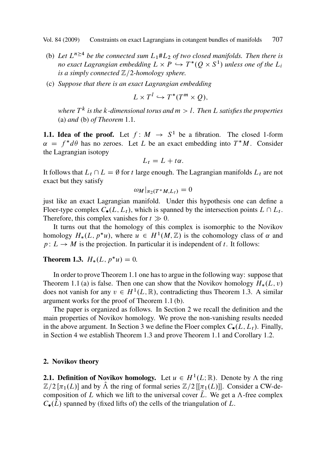- <span id="page-2-0"></span>(b) Let  $L^{n \geq 4}$  be the connected sum  $L_1 \# L_2$  of two closed manifolds. Then there is *no exact Lagrangian embedding*  $L \times P \hookrightarrow T^*(Q \times S^1)$  *unless one of the*  $L_i$ <br>*is a simply connected*  $\mathbb{Z}/2$  *homology sphere is a simply connected*  $\mathbb{Z}/2$ -homology sphere.
- (c) *Suppose that there is an exact Lagrangian embedding*

$$
L \times T^l \hookrightarrow T^*(T^m \times Q),
$$

*where* T <sup>k</sup> *is the* k*-dimensional torus and* m>l*. Then* L *satisfies the properties* (a) *and* (b) *of Theorem* 1.1*.*

**1.1. Idea of the proof.** Let  $f : M \rightarrow S^1$  be a fibration. The closed 1-form  $\alpha = f^*d\theta$  has no zeroes. Let L be an exact embedding into  $T^*M$ . Consider the Lagrangian isotopy the Lagrangian isotopy

$$
L_t = L + t\alpha.
$$

It follows that  $L_t \cap L = \emptyset$  for t large enough. The Lagrangian manifolds  $L_t$  are not exact but they satisfy exact but they satisfy

$$
\omega_M|_{\pi_2(T^*M, L_t)} = 0
$$

just like an exact Lagrangia[n m](#page-1-0)anifold. Under this hypothesis one can define a Flo[e](#page-1-0)r-type [co](#page-1-0)mplex  $C_{\bullet}(L, L_t)$ , which is spanned by the intersection points  $L \cap L_t$ . Therefore, this complex vanishes for  $t \gg 0$ .

It turns out that the homology of thi[s](#page-1-0) [co](#page-1-0)mplex is isomorphic to the Novikov homology  $H_*(L, p^*u)$ , where  $u \in H^1(M, \mathbb{Z})$  is the cohomology class of  $\alpha$  and  $p: L \to M$  is the projection. In particular it is independent of t. It follows:  $p: L \to M$  is the projection. In particular it is independent of t. It follows:

# **Theorem 1.3.**  $H_*(L, p^*u) = 0.$

In order to prove Theorem 1.1 one has to argue in the following way: suppose that Theorem 1.1 (a) is false. Then one can show that the Novikov homology  $H_*(L, v)$ does not vanish for any  $v \in H^1(L, \mathbb{R})$ , contradicting thus Theorem 1.3. A similar argument works for the proof of Theorem 1.1 (b).

The paper is organized as follows. In Section 2 we recall the definition and the main properties of Novikov homology. We prove the non-vanishing results needed in the above argument. In Section 3 we define the Floer complex  $C_{\bullet}(L, L_t)$ . Finally, in Section 4 we establish Theorem 1.3 and prove Theorem 1.1 and Corollary 1.2.

#### **2. Novikov theory**

**2.1. Definition of Novikov homology.** Let  $u \in H^1(L;\mathbb{R})$ . Denote by  $\Lambda$  the ring  $\mathbb{Z}/2$  [ $\pi_1(L)$ ] and by  $\Lambda$  the ring of formal series  $\mathbb{Z}/2$  [[ $\pi_1(L)$ ]]. Consider a CW-decomposition of L which we lift to the universal cover  $\tilde{L}$ . We get a  $\Lambda$ -free complex  $C_{\bullet}(L)$  spanned by (fixed lifts of) the cells of the triangulation of L.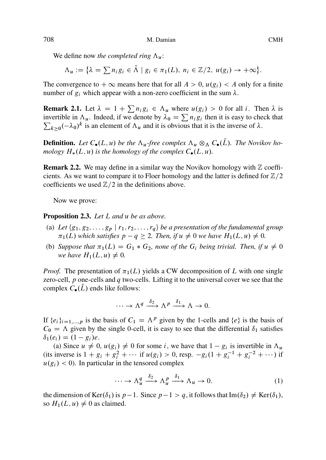We define now *the completed ring*  $\Lambda_u$ :

$$
\Lambda_u := \big\{ \lambda = \sum n_i g_i \in \hat{\Lambda} \mid g_i \in \pi_1(L), \ n_i \in \mathbb{Z}/2, \ u(g_i) \to +\infty \big\}.
$$

The convergence to  $+\infty$  means here that for all  $A>0$ ,  $u(g_i)< A$  only for a finite number of  $g_i$  which appear with a non-zero coefficient in the sum  $\lambda$ .

**Remark 2.1.** Let  $\lambda = 1 + \sum n_i g_i \in \Lambda_u$  where  $u(g_i) > 0$  for all *i*. Then  $\lambda$  is invertible in  $\Lambda_u$ . Indeed if we denote by  $\lambda_0 = \sum n_i g_i$  then it is easy to check that invertible in  $\Lambda_u$ . Indeed, if we denote by  $\lambda_0 = \sum n_i g_i$  then it is easy to check that  $\sum_{i=1}^{\infty} a_i = 1$ .  $\sum_{k\geq 0} (-\lambda_0)^k$  is an element of  $\Lambda_u$  and it is obvious that it is the inverse of  $\lambda$ .

**Definition.** Let  $C_{\bullet}(L, u)$  be the  $\Lambda_u$ -free complex  $\Lambda_u \otimes_{\Lambda} C_{\bullet}(\tilde{L})$ . The Novikov homology  $H_*(L, u)$  is the homology of the complex  $C_{\bullet}(L, u)$ *.* 

**Remark 2.2.** We may define in a similar way the Novikov homology with  $\mathbb{Z}$  coefficients. As we want to compare it to Floer homology and the latter is defined for  $\mathbb{Z}/2$ coefficients we used  $\mathbb{Z}/2$  in the definitions above.

Now we prove:

**Proposition 2.3.** *Let* L *and* u *be as above.*

- (a) Let  $\langle g_1, g_2, \ldots, g_p \mid r_1, r_2, \ldots, r_q \rangle$  *be a presentation of the fundamental group*  $\pi_1(L)$  which satisfies  $p - q \geq 2$ . Then, if  $u \neq 0$  we have  $H_1(L, u) \neq 0$ .
- (b) *Suppose that*  $\pi_1(L) = G_1 * G_2$ *, none of the*  $G_i$  *being trivial. Then, if*  $u \neq 0$ <br>we have  $H_1(L, u) \neq 0$ *we have*  $H_1(L, u) \neq 0$ .

*Proof.* The presentation of  $\pi_1(L)$  yields a CW decomposition of L with one single zero-cell, p one-cells and q two-cells. Lifting it to the universal cover we see that the complex  $C_{\bullet}(\tilde{L})$  ends like follows:

$$
\cdots \to \Lambda^q \xrightarrow{\delta_2} \Lambda^p \xrightarrow{\delta_1} \Lambda \to 0.
$$

If  $\{e_i\}_{i=1,\dots,p}$  is the basis of  $C_1 = \Lambda^p$  given by the 1-cells and  $\{e\}$  is the basis of  $C_0 = \Lambda$  given by the single 0-cell, it is easy to see that the differential  $\delta_1$  satisfies  $\delta_1(e_i) = (1 - g_i)e$ .

(a) Since  $u \neq 0$ ,  $u(g_i) \neq 0$  for some i, we have that  $1 - g_i$  is invertible in  $\Lambda_u$ (its inverse is  $1 + g_i + g_i^2 + \cdots$  if  $u(g_i) > 0$ , resp.  $-g_i(1 + g_i^{-1} + g_i^{-2} + \cdots)$  if  $u(g_i) < 0$ ). In particular in the tensored complex  $u(g_i) < 0$ ). In particular in the tensored complex

$$
\cdots \to \Lambda_u^q \xrightarrow{\delta_2} \Lambda_u^p \xrightarrow{\delta_1} \Lambda_u \to 0. \tag{1}
$$

the dimension of  $\text{Ker}(\delta_1)$  is  $p-1$ . Since  $p-1>q$ , it follows that  $\text{Im}(\delta_2) \neq \text{Ker}(\delta_1)$ , so  $H_1(L, u) \neq 0$  as claimed.

<span id="page-3-0"></span>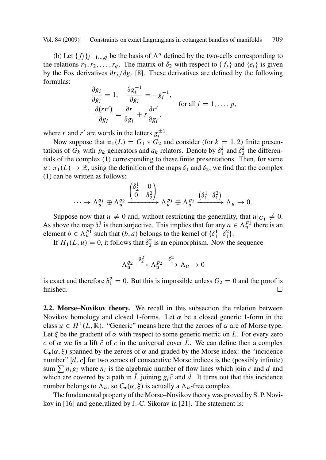(b) Let  $\{f_j\}_{j=1...q}$  be the basis of  $\Lambda^q$  defined by the two-cells corresponding to the relations  $r_1, r_2, \ldots, r_q$ . The matrix of  $\delta_2$  with respect to  $\{f_i\}$  and  $\{e_i\}$  is given by the Fox derivatives  $\partial r_i / \partial g_i$  [8]. These derivatives are defined by the following formulas:

$$
\frac{\partial g_i}{\partial g_i} = 1, \quad \frac{\partial g_i^{-1}}{\partial g_i} = -g_i^{-1},
$$
  
\n
$$
\frac{\partial (rr')}{\partial g_i} = \frac{\partial r}{\partial g_i} + r \frac{\partial r'}{\partial g_i},
$$
 for all  $i = 1, ..., p$ ,

where r and r' are words in the letters  $g_i^{\pm 1}$ .

Now suppose that  $\pi_1(L) = G_1 * G_2$  and consider (for  $k = 1, 2$ ) finite presen-<br>ons of G<sub>1</sub> with n<sub>1</sub> generators and q<sub>1</sub> relators. Denote by  $\delta^k$  and  $\delta^k$  the differentations of  $G_k$  with  $p_k$  generators and  $q_k$  relators. Denote by  $\delta_1^k$  and  $\delta_2^k$  the differentials of the complex (1) corresponding to these finite presentations. Then, for some  $u: \pi_1(L) \to \mathbb{R}$ , using the definition of the maps  $\delta_1$  and  $\delta_2$ , we find that the complex (1) can be written as follows: (1) can be written as follows:

$$
\cdots \to \Lambda_u^{q_1} \oplus \Lambda_u^{q_2} \xrightarrow{\begin{pmatrix} \delta_2^1 & 0 \\ 0 & \delta_2^2 \end{pmatrix}} \Lambda_u^{p_1} \oplus \Lambda_u^{p_2} \xrightarrow{\begin{pmatrix} \delta_1^1 & \delta_1^2 \end{pmatrix}} \Lambda_u \to 0.
$$

Suppose now that  $u \neq 0$  and, without restricting the generality, that  $u|_{G_1} \neq 0$ . As above the map  $\delta_1^1$  is then surjective. This implies that for any  $a \in \Lambda_u^{p_2}$  there is an element  $b \in \Lambda_v^{p_1}$  such that  $(b, a)$  belongs to the kernel of  $(\delta_1^1, \delta_2^2)$ element  $b \in \Lambda_u^{p_1}$  such that  $(b, a)$  belongs to the kernel of  $(\delta_1^1 \delta_1^2)$ .<br>If  $H_u(I, u) = 0$  it follows that  $\delta_1^2$  is an enjmerable whole

If  $H_1(L, u) = 0$ , it follows that  $\delta_2^2$  is an epimorphism. Now the sequence

$$
\Lambda_u^{q_2} \xrightarrow{\delta_2^2} \Lambda_u^{p_2} \xrightarrow{\delta_1^2} \Lambda_u \to 0
$$

is exact and therefore  $\delta_1^2 = 0$ . But this is impossible unless  $G_2 = 0$  and the proof is finished finished.  $\Box$ 

**2.2. Morse–Novikov theory.** We recall in this subsection the relation between Novikov homology and closed 1-forms. Let  $\alpha$  be a closed generic 1-form in the class  $u \in H^1(L, \mathbb{R})$ . "Generic" means here th[at th](#page-41-0)e zeroes of  $\alpha$  are of Morse type. Let  $\xi$  be the gradient of  $\alpha$  with respect to some generic metric on L. For every zero c of  $\alpha$  we fix a lift  $\tilde{c}$  of c in the universal cover L. We can define then a complex  $C_{\bullet}(\alpha, \xi)$  spanned by the zeroes of  $\alpha$  and graded by the Morse index: the "incidence number"  $[d, c]$  for two zeroes of consecutive Morse indices is the (possibly infinite) sum  $\sum n_i g_i$  where  $n_i$  is the algebraic number of flow lines which join c and d and which are covered by a path in  $\tilde{L}$  joining  $g_i \tilde{c}$  and d. It turns out that this incidence number belongs to  $\Lambda_u$ , so  $C_{\bullet}(\alpha, \xi)$  is actually a  $\Lambda_u$ -free complex.

The fundamental property of the Morse–Novikov theory was proved by S. P. Novikov in [16] and generalized by J.-C. Sikorav in [21]. The statement is: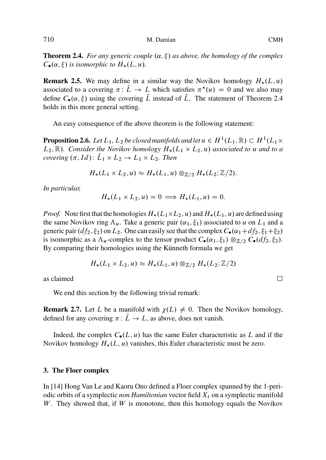<span id="page-5-0"></span>**Theorem 2.4.** For any generic couple  $(\alpha, \xi)$  as above, the homology of the complex  $C_{\bullet}(\alpha, \xi)$  is isomorphic to  $H_*(L, u)$ .

**Remark 2.5.** We may define in a similar way the Novikov homology  $H_*(L, u)$ associated to a covering  $\pi: L \to L$  which satisfies  $\pi^*(u) = 0$  and we also may<br>define  $C(\alpha, \xi)$  using the covering  $\overline{L}$  instead of  $\overline{L}$ . The statement of Theorem 2.4 define  $C_{\bullet}(\alpha,\xi)$  using the covering  $\overline{L}$  instead of  $\overline{L}$ . The statement of Theorem 2.4 holds in this more general setting.

An easy consequence of the above theorem is the following statement:

**Proposition 2.6.** Let  $L_1$ ,  $L_2$  be closed manifolds and let  $u \in H^1(L_1, \mathbb{R}) \subset H^1(L_1 \times L_2, \mathbb{R})$ . Consider the Novikov homology  $H^1(L_1 \times L_2, \mathbb{R})$  associated to  $u$  and to a  $L_2$ , R). Consider the Novikov homology  $H_*(L_1 \times L_2, u)$  associated to u and to a<br>covering  $(\pi, Id)$ :  $\overline{L} \times L_2 \to L_1 \times L_2$ . Then *covering*  $(\pi, Id)$ :  $L_1 \times L_2 \rightarrow L_1 \times L_2$ . Then

$$
H_*(L_1 \times L_2, u) \approx H_*(L_1, u) \otimes_{\mathbb{Z}/2} H_*(L_2; \mathbb{Z}/2).
$$

*In particular,*

$$
H_*(L_1 \times L_2, u) = 0 \implies H_*(L_1, u) = 0.
$$

*Proof.* Note first that the homologies  $H_*(L_1 \times L_2, u)$  and  $H_*(L_1, u)$  are defined using the same Novikov ring  $\Lambda$ . Take a generic pair  $(\alpha, \xi)$  associated to  $u$  on  $L_3$  and a the same Novikov ring  $\Lambda_u$ . Take a generic pair  $(\alpha_1, \xi_1)$  associated to u on  $L_1$  and a generic pair  $(df_2, \xi_2)$  on  $L_2$ . One can easily see that the complex  $C_{\bullet}(\alpha_1 + df_2, \xi_1 + \xi_2)$ is isomorphic as a  $\Lambda_u$ -complex to the tensor product  $C_{\bullet}(\alpha_1, \xi_1) \otimes_{\mathbb{Z}/2} C_{\bullet}(df_2, \xi_2)$ . By comparing their homologies using the Künneth formula we get

$$
H_*(L_1 \times L_2, u) \approx H_*(L_1, u) \otimes_{\mathbb{Z}/2} H_*(L_2; \mathbb{Z}/2)
$$

as claimed  $\Box$ 

We end this section by the following trivial remark:

**Re[ma](#page-41-0)rk 2.7.** Let L be a manifold with  $\chi(L) \neq 0$ . Then the Novikov homology, defined for any covering  $\pi: L \to L$ , as above, does not vanish.

Indeed, the complex  $C_{\bullet}(L, u)$  has the same Euler characteristic as L and if the Novikov homology  $H_*(L, u)$  vanishes, this Euler characteristic must be zero.

#### **3. The Floer complex**

In [14] Hong Van Le and Kaoru Ono defined a Floer complex spanned by the 1-periodic orbits of a symplectic *non Hamiltonian* vector field  $X_t$  on a symplectic manifold W. They showed that, if  $W$  is monotone, then this homology equals the Novikov

 $\Box$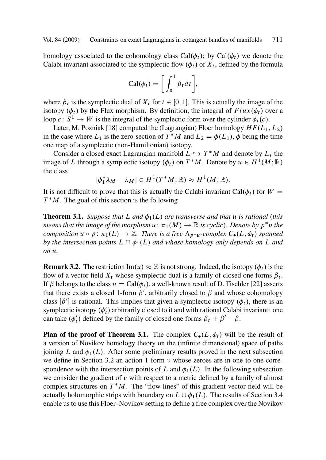<span id="page-6-0"></span>homology associated [to](#page-41-0) [t](#page-41-0)he cohomology class Cal $(\phi_t)$ ; by Cal $(\phi_t)$  we denote the Calabi invariant associated to the symplectic flow  $(\phi_t)$  of  $X_t$ , defined by the formula

$$
\operatorname{Cal}(\phi_t) = \bigg[ \int_0^1 \beta_t dt \bigg],
$$

where  $\beta_t$  is the symplectic dual of  $X_t$  for  $t \in [0, 1]$ . This is actually the image of the isotopy  $(\phi_t)$  by the Flux morphism. By definition, the integral of  $Flux(\phi_t)$  over a loop  $c: S^1 \to W$  is the integral of the symplectic form over the cylinder  $\phi_t(c)$ .

Later, M. Pozniak [18] computed the (Lagrangian) Floer homology  $HF(L_1, L_2)$ in the case where  $L_1$  is the zero-section of  $T^*M$  and  $L_2 = \phi(L_1)$ ,  $\phi$  being the time<br>one man of a symplectic (pon-Hamiltonian) isotopy one map of a symplectic (non-Hamiltonian) isotopy.

Consider a closed exact Lagrangian manifold  $L \hookrightarrow T^*M$  and denote by  $L_t$  the set of L through a symplectic isotopy  $(4)$ , on  $T^*M$ . Denote by  $u \in H^1(M;\mathbb{R})$ image of L through a symplectic isotopy  $(\phi_t)$  on  $T^*M$ . Denote by  $u \in H^1(M; \mathbb{R})$ <br>the class the class

$$
[\phi_1^*\lambda_M-\lambda_M]\in H^1(T^*M;\mathbb{R})\approx H^1(M;\mathbb{R}).
$$

It is not difficult to prove that this is actually the Calabi invariant Cal $(\phi_t)$  for  $W =$  $T^*M$ . The goal of this section is the following

**Theorem 3.1.** *Suppose that* L *and*  $\phi_1(L)$  *are transverse and that* u *is rational (this means that the image of the morphism*  $u : \pi_1(M) \to \mathbb{R}$  *is cyclic). Denote by*  $p^*u$  *the composition*  $u \circ n : \pi_1(I) \to \mathbb{Z}$ . There is a free  $\Lambda$ , *x*, complex  $C(I, \phi)$  spanned *composition*  $u \circ p$ :  $\pi_1(L) \to \mathbb{Z}$ . There is a free  $\Lambda_{p^*u}$ -complex  $C_{\bullet}(L, \phi_t)$  spanned<br>by the intersection points  $L \cap \phi_t(L)$  and whose homology only depends on L and *by the intersection points*  $L \cap \phi_1(L)$  *and whose homology only depends on* L *and on* u*.*

**Remark 3.2.** The restriction  $\text{Im}(u) \approx \mathbb{Z}$  is not strong. Indeed, the isotopy  $(\phi_t)$  is the flow of a vector field  $Y$ , whose symplectic dual is a family of closed one forms  $\beta$ . flow of a vector field  $X_t$  whose symplectic dual is a family of closed one forms  $\beta_t$ . If  $\beta$  belongs to the class  $u = \text{Cal}(\phi_t)$ , a well-known result of D. Tischler [22] asserts that there exists a closed 1-form  $\beta'$ , arbitrarily closed to  $\beta$  and whose cohomology class  $[\beta']$  is rational. This implies that given a symplectic isotopy  $(\phi_t)$ , there is an symplectic isotopy  $(\phi'_t)$  arbitrarily closed to it and with rational Calabi invariant: one can take  $(\phi'_t)$  defined by the family of closed one forms  $\beta_t + \beta' - \beta$ .

**Plan of the proof of Theorem 3.1.** The complex  $C_{\bullet}(L, \phi_t)$  will be the result of a version of Novikov homology theory on the (infinite dimensional) space of paths joining L and  $\phi_1(L)$ . After some preliminary results proved in the next subsection we define in Section 3.2 an action 1-form  $\nu$  whose zeroes are in one-to-one correspondence with the intersection points of L and  $\phi_1(L)$ . In the following subsection we consider the gradient of  $\nu$  with respect to a metric defined by a family of almost complex structures on  $T^*M$ . The "flow lines" of this gradient vector field will be actually holomorphic strips with boundary on  $L \cup \phi_1(L)$ . The results of Section 3.4 enable us to use this Floer–Novikov setting to define a free complex over the Novikov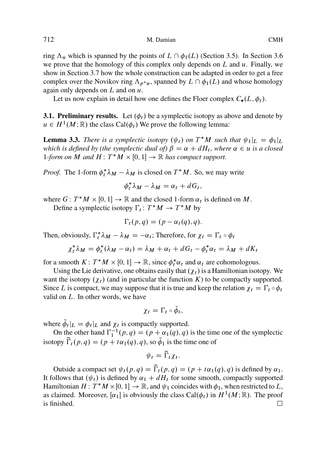<span id="page-7-0"></span>ring  $\Lambda_u$  which is spanned by the points of  $L \cap \phi_1(L)$  (Section 3.5). In Section 3.6 we prove that the homology of this complex only depends on  $L$  and  $u$ . Finally, we show in Section 3.7 how the whole construction can be adapted in order to get a free complex over the Novikov ring  $\Lambda_{p^*u}$ , spanned by  $L \cap \phi_1(L)$  and whose homology again only depends on L and on  $u$ again only depends on  $L$  and on  $u$ .

Let us now explain in detail how one defines the Floer complex  $C_{\bullet}(L, \phi_t)$ .

**3.1. Preliminary results.** Let  $(\phi_t)$  be a symplectic isotopy as above and denote by  $u \in H^1(M;\mathbb{R})$  the class Cal $(\phi_t)$  We prove the following lemma:

**Lemma 3.3.** There is a symplectic isotopy  $(\psi_t)$  on  $T^*M$  such that  $\psi_1|_L = \phi_1|_L$ <br>which is defined by (the symplectic dual of)  $\beta = \alpha + dH$ , where  $\alpha \in \mathcal{U}$  is a closed *which is defined by (the symplectic dual of)*  $\beta = \alpha + dH_t$ *, where*  $\alpha \in u$  *is a closed* 1*-form on*  $M$  *and*  $H: T^*M \times [0, 1] \rightarrow \mathbb{R}$  *has compact support.* 

*Proof.* The 1-form  $\phi_t^* \lambda_M - \lambda_M$  is closed on  $T^*M$ . So, we may write

$$
\phi_t^* \lambda_M - \lambda_M = \alpha_t + dG_t,
$$

where  $G: T^*M \times [0,1] \to \mathbb{R}$  and the closed 1-form  $\alpha_t$  is defined on M.<br>Define a symplectic isotopy  $\Gamma: T^*M \to T^*M$  by

Define a symplectic isotopy  $\Gamma_t: T^*M \to T^*M$  by

$$
\Gamma_t(p,q) = (p - \alpha_t(q), q).
$$

Then, obviously,  $\Gamma_t^* \lambda_M - \lambda_M = -\alpha_t$ ; Therefore, for  $\chi_t = \Gamma_t \circ \phi_t$ 

$$
\chi_t^* \lambda_M = \phi_t^* (\lambda_M - \alpha_t) = \lambda_M + \alpha_t + dG_t - \phi_t^* \alpha_t = \lambda_M + dK_t
$$

for a smooth  $K: T^*M \times [0, 1] \to \mathbb{R}$ , since  $\phi_t^* \alpha_t$  and  $\alpha_t$  are cohomologous.<br>Lising the Lie derivative one obtains easily that  $(x_i)$  is a Hamiltonian isoto

Using the Lie derivative, one obtains easily that  $(\chi_t)$  is a Hamiltonian isotopy. We want the isotopy  $(\chi_t)$  (and in particular the function K) to be compactly supported. Since L is compact, we may suppose that it is true and keep the relation  $\chi_t = \Gamma_t \circ \phi_t$  valid on L. In other words, we have valid on  $L$ . In other words, we have

$$
\chi_t=\Gamma_t\circ\phi_t,
$$

where  $\tilde{\phi}_t|_L = \phi_t|_L$  and  $\chi_t$  is compactly supported.

On the other hand  $\Gamma_1^{-1}(p,q) = (p + \alpha_1(q), q)$  is the time one of the symplectic<br>can:  $\tilde{\Gamma}(p,q) = (p + \alpha_1(q), q)$  so  $\tilde{\Lambda}$  is the time one of isotopy  $\Gamma_t(p,q) = (p + t\alpha_1(q), q)$ , so  $\phi_1$  is the time one of

$$
\psi_t = \widetilde{\Gamma}_t \chi_t.
$$

Outside a compact set  $\psi_t(p,q) = \Gamma_t(p,q) = (p + t\alpha_1(q), q)$  is defined by  $\alpha_1$ .<br>plows that  $(kk)$  is defined by  $\alpha_k + dH$ , for some smooth, compactly supported It follows that  $(\psi_t)$  is defined by  $\alpha_1 + dH_t$  for some smooth, compactly supported Hamiltonian  $H: T^*M \times [0, 1] \to \mathbb{R}$ , and  $\psi_1$  coincides with  $\phi_1$ , when restricted to L, as claimed. Moreover,  $[\alpha, 1]$  is obviously the class Cal( $\phi$ ) in  $H^1(M; \mathbb{R})$ . The proof as claimed. Moreover,  $[\alpha_1]$  is obviously the class Cal $(\phi_t)$  in  $H^1(M;\mathbb{R})$ . The proof is finished. is finished.  $\Box$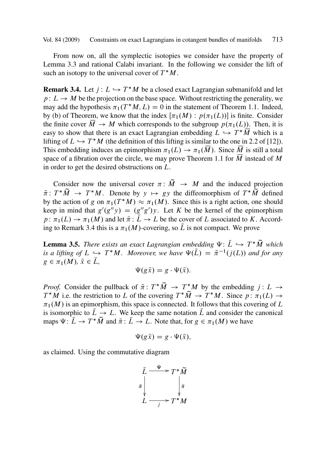<span id="page-8-0"></span>From now on, all the symplectic isotopies we consider have the property of Lemma 3.3 and rational Calabi invariant. In the following we consider the l[ift o](#page-41-0)f such an isotopy to the universal cover of  $T^*M$ .

**Remark 3.4.** Let  $j: L \hookrightarrow T^*M$  be a closed exact Lagran[gian](#page-1-0) submanifold and let  $n: L \to M$  be the projection on the base space. Without restricting the generality we  $p: L \to M$  be the projection on the base space. Without restricting the generality, we may add the hypothesis  $\pi_1(T^*M, L) = 0$  in the statement of Theorem 1.1. Indeed,<br>by (b) of Theorem, we know that the index  $[\pi_1(M) : n(\pi_1(L))]$  is finite. Consider by (b) of Theorem, we know that the index  $[\pi_1(M) : p(\pi_1(L))]$  is finite. Consider the finite cover  $\overline{M} \rightarrow M$  which corresponds to the subgroup  $p(\pi_1(L))$ . Then, it is the finite cover  $M \to M$  which corresponds to the subgroup  $p(\pi_1(L))$ . Then, it is<br>easy to show that there is an exact Lagrangian embedding  $L \hookrightarrow T^*M$  which is a easy to show that there is an exact Lagrangian embedding  $L \hookrightarrow T^*M$  which is a<br>lifting of  $L \hookrightarrow T^*M$  (the definition of this lifting is similar to the one in 2.2 of [12]) lifting of  $L \hookrightarrow T^*M$  (the definition of this lifting is similar to the one in 2.2 of [12]).<br>This embedding induces an enimorphism  $\pi_L(L) \to \pi_L(\overline{M})$ . Since  $\overline{M}$  is still a total This embedding induces an epimorphism  $\pi_1(L) \to \pi_1(M)$ . Since M is still a total<br>space of a fibration over the circle, we may prove Theorem 1.1 for  $\overline{M}$  instead of M space of a fibration over the circle, we may prove Theorem 1.1 for  $\overline{M}$  instead of M in order to get the desired obstructions on L.

Consider now the universal cover  $\pi: M \to M$  and the induced projection  $T^*\widetilde{M} \to T^*M$ . Denote by  $y \mapsto ay$  the diffeomorphism of  $T^*\widetilde{M}$  defined  $\tilde{\pi}: T^*M \to T^*M$ . Denote by  $y \mapsto gy$  the diffeomorphism of  $T^*M$  defined<br>by the action of  $g$  on  $\pi: (T^*M) \approx \pi: (M)$ . Since this is a right action, one should by the action of g on  $\pi_1(T^*M) \approx \pi_1(M)$ . Since this is a right action, one should<br>keep in mind that  $g'(g'v) = (g''g')v$ . Let K be the kernel of the enimorphism keep in mind that  $g'(g''y) = (g''g')y$ . Let K be the kernel of the epimorphism<br> $g: \pi_1(I) \to \pi_1(M)$  and let  $\bar{\pi} : \bar{I} \to I$  be the cover of L associated to K. Accord $p: \pi_1(L) \to \pi_1(M)$  and let  $\bar{\pi}: L \to L$  be the cover of L associated to K. Accord-<br>ing to Bemark 3.4 this is a  $\pi_1(M)$ -covering so  $\bar{L}$  is not compact. We prove ing to Remark 3.4 this is a  $\pi_1(M)$ -covering, so L is not compact. We prove

**Lemma 3.5.** *There exists an exact Lagrangian embedding*  $\Psi: L \hookrightarrow T^*M$  *which* is a lifting of  $L \hookrightarrow T^*M$  . Moreover we have  $\Psi(\overline{L}) = \tilde{\pi}^{-1}(i(L))$  and for any *is a lifting of*  $L \hookrightarrow T^*M$ . Moreover, we have  $\Psi(\overline{L}) = \tilde{\pi}^{-1}(j(L))$  and for any  $g \in \pi_1(M)$ ,  $\overline{x} \in \overline{I}$  $g \in \pi_1(M), \, \bar{x} \in L,$ 

$$
\Psi(g\bar{x})=g\cdot\Psi(\bar{x}).
$$

*Proof.* Consider the pullback of  $\tilde{\pi}$ :  $T^*M \to T^*M$  by the embedding  $j: L \to T^*M$  i.e. the restriction to L of the covering  $T^*\tilde{M} \to T^*M$ . Since  $n: \pi_1(L) \to T^*M$  $T^*M$  i.e. the restriction to L of the covering  $T^*M \to T^*M$ . Since  $p: \pi_1(L) \to$ <br> $\pi_1(M)$  is an enimorphism, this space is connected. It follows that this covering of L  $\pi_1(M)$  is an epimorphism, this space is connected. It follows that this covering of L is isomorphic to  $L \to L$ . We keep the same notation L and consider the canonical<br>maps  $W: \overline{L} \to T^* \widetilde{M}$  and  $\overline{\tau}: \overline{L} \to L$ . Note that, for  $\alpha \in \pi_1(M)$  we have maps  $\Psi: L \to T^*M$  and  $\bar{\pi}: L \to L$ . Note that, for  $g \in \pi_1(M)$  we have

$$
\Psi(g\bar x)=g\cdot\Psi(\bar x),
$$

as claimed. Using the commutative diagram

$$
\bar{L} \xrightarrow{\Psi} T^* \widetilde{M}
$$
\n
$$
\bar{\pi} \downarrow \qquad \qquad \downarrow \tilde{\pi}
$$
\n
$$
L \xrightarrow{j} T^* M
$$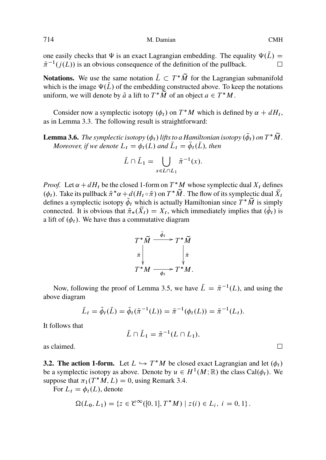one easily checks that  $\Psi$  is an exact Lagrangian embedding. The equality  $\Psi(\bar{L}) = \tilde{\pi}^{-1}(i(L))$  is an obvious consequence of the definition of the pullback  $\tilde{\pi}^{-1}(j(L))$  is an obvious consequence of the definition of the pullback.  $\Box$ 

**Notations.** We use the same notation  $L \subset T^*M$  for the Lagrangian submanifold which is the image  $\Psi(\bar{L})$  of the embedding constructed above. To keep the notations which is the image  $\Psi(\bar{L})$  of the embedding constructed above. To keep the notations uniform, we will denote by  $\bar{a}$  a lift to  $T^*M$  of an object  $a \in T^*M$ .

Consider now a symplectic isotopy  $(\phi_t)$  on  $T^*M$  which is defined by  $\alpha + dH_t$ ,<br>n Lemma 3.3. The following result is straightforward: as in Lemma 3.3. The following result is straightforward:

**Lemma 3.6.** *The symplectic isotopy*  $(\phi_t)$  *lifts to a Hamiltonian isotopy*  $(\phi_t)$  *on*  $T^*M$ . *Moreover, if we denote*  $L_t = \phi_t(L)$  *and*  $\overline{L}_t = \overline{\phi}_t(\overline{L})$ *, then* 

$$
\bar{L} \cap \bar{L}_1 = \bigcup_{x \in L \cap L_1} \tilde{\pi}^{-1}(x).
$$

*Proof.* Let  $\alpha + dH_t$  be the closed 1-form on  $T^*M$  whose symplectic dual  $X_t$  defines  $(d_1)$ . Take its pullback  $\tilde{\tau}^*\alpha + d(H_0, \tilde{\tau})$  on  $T^*\tilde{M}$ . The flow of its symplectic dual  $\overline{Y}$ .  $(\phi_t)$ . Take its pullback  $\tilde{\pi}^* \alpha + d(H_t \circ \tilde{\pi})$  on  $T^* M$ . The flow of its symplectic dual  $X_t$ <br>defines a symplectic isotopy  $\tilde{\phi}$ , which is actually Hamiltonian since  $T^* \tilde{M}$  is simply π<br>MΩ defines a symplectic isotopy  $\phi_t$  which is actually Hamiltonian since  $T^*M$  is simply connected. It is obvious that  $\tilde{\pi}_*(X_t) = X_t$ [,](#page-8-0) which immediately implies that  $(\phi_t)$  is a lift of  $(\phi_t)$ . We have thus a commutative diagram a lift of  $(\phi_t)$ . We have thus a commutative diagram

$$
T^*\widetilde{M} \xrightarrow{\phi_t} T^*\widetilde{M}
$$

$$
\widetilde{\pi} \downarrow \qquad \qquad \downarrow \widetilde{\pi}
$$

$$
T^*M \xrightarrow{\phi_t} T^*M.
$$

Now, following the proof of Lemma 3.5, we have  $\overline{L} = \tilde{\pi}^{-1}(L)$ , and using the ve diagram above diagram

$$
\bar{L}_t = \bar{\phi}_t(\bar{L}) = \bar{\phi}_t(\tilde{\pi}^{-1}(L)) = \tilde{\pi}^{-1}(\phi_t(L)) = \tilde{\pi}^{-1}(L_t).
$$

It follows that

$$
\bar{L}\cap \bar{L}_1=\tilde{\pi}^{-1}(L\cap L_1),
$$

as claimed.  $\Box$ 

**3.2. The action 1-form.** Let  $L \hookrightarrow T^*M$  be closed exact Lagrangian and let  $(\phi_t)$  be a symplectic isotopy as above. Denote by  $u \in H^1(M; \mathbb{R})$  the class Cal(d). We be a symplectic isotopy as above. Denote by  $u \in H^1(M;\mathbb{R})$  the class Cal $(\phi_t)$ . We suppose that  $\pi_1(T^*M, L) = 0$ , using Remark 3.4.<br>For  $L_1 = \phi_1(L)$  denote

For  $L_t = \phi_t(L)$ , denote

$$
\Omega(L_0, L_1) = \{ z \in \mathcal{C}^{\infty}([0, 1], T^*M) \mid z(i) \in L_i, i = 0, 1 \}.
$$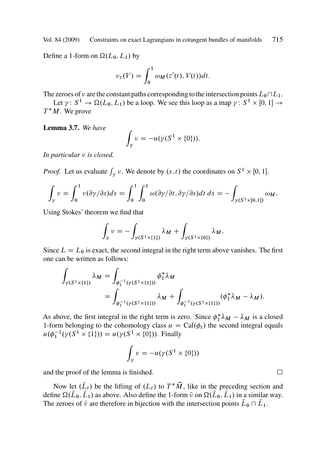<span id="page-10-0"></span>Define a 1-form on  $\Omega(L_0, L_1)$  by

$$
\nu_z(V) = \int_0^1 \omega_M(z'(t), V(t)) dt.
$$

The zeroes of v are the constant paths corresponding to the intersection points  $L_0\cap L_1$ .

Let  $\gamma: S^1 \to \Omega(L_0, L_1)$  be a loop. We see this loop as a map  $\gamma: S^1 \times [0, 1] \to$  $T^*M$ . We prove

**Lemma 3.7.** *We have*

$$
\int_{\gamma} \nu = -u(\gamma(S^1 \times \{0\})).
$$

*In particular*  $\nu$  *is closed.* 

*Proof.* Let us evaluate  $\int_{\gamma} v$ . We denote by  $(s, t)$  the coordinates on  $S^1 \times [0, 1]$ .

$$
\int_{\gamma} \nu = \int_0^1 \nu(\partial \gamma/\partial s) ds = \int_0^1 \int_0^1 \omega(\partial \gamma/\partial t, \partial \gamma/\partial s) dt ds = - \int_{\gamma(S^1 \times [0,1])} \omega_M.
$$

Using Stokes' theorem we find that

$$
\int_{\gamma} \nu = -\int_{\gamma(S^1 \times \{1\})} \lambda_M + \int_{\gamma(S^1 \times \{0\})} \lambda_M.
$$

Since  $L = L_0$  is exact, the second integral in the right term above vanishes. The first one can be written as follows:

$$
\int_{\gamma(S^1 \times \{1\})} \lambda_M = \int_{\phi_1^{-1}(\gamma(S^1 \times \{1\}))} \phi_1^* \lambda_M
$$
\n
$$
= \int_{\phi_1^{-1}(\gamma(S^1 \times \{1\}))} \lambda_M + \int_{\phi_1^{-1}(\gamma(S^1 \times \{1\}))} (\phi_1^* \lambda_M - \lambda_M).
$$

As above, the first integral in the right term is zero. Since  $\phi_1^* \lambda_M - \lambda_M$  is a closed 1-form belonging to the cohomology class  $u = \text{Cal}(\phi_1)$  the second integral equals 1-form belonging to the cohomology class  $u = \text{Cal}(\phi_t)$  the second integral equals  $u(\phi_1^{-1}(\gamma(S^1 \times \{1\})) = u(\gamma(S^1 \times \{0\})).$  Finally

$$
\int_{\gamma} \nu = -u(\gamma(S^1 \times \{0\}))
$$

and the proof of the lemma is finished.

Now let  $(L_t)$  be the lifting of  $(L_t)$  to  $T^*M$ , like in the preceding section and define  $\Omega(\bar{L}_0, \bar{L}_1)$  as above. Also define the 1-form  $\bar{v}$  on  $\Omega(\bar{L}_0, \bar{L}_1)$  in a similar way. The zeroes of  $\bar{\nu}$  are therefore in bijection with the intersection points  $\bar{L}_0 \cap \bar{L}_1$ .

 $\Box$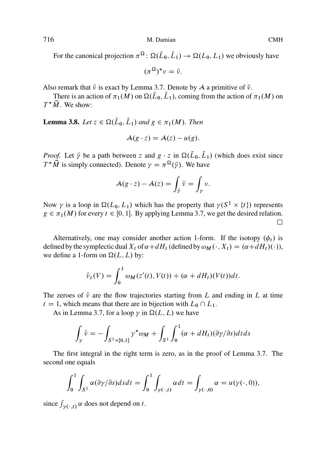For the canonical projection  $\pi^{\Omega} \colon \Omega(\bar{L}_0, \bar{L}_1) \to \Omega(L_0, L_1)$  we obviously have

$$
(\pi^{\Omega})^*\nu=\bar{\nu}.
$$

Also remark that  $\bar{\nu}$  is exact by Lemma 3.7. Denote by A a primitive of  $\bar{\nu}$ .

There is an action of  $\pi_1(M)$  on  $\Omega(L_0, L_1)$ , coming from the action of  $\pi_1(M)$  on  $T^*M$ . We show:

**Lemma 3.8.** *Let*  $z \in \Omega(L_0, L_1)$  *and*  $g \in \pi_1(M)$ *. Then* 

$$
\mathcal{A}(g \cdot z) = \mathcal{A}(z) - u(g).
$$

*Proof.* Let  $\bar{y}$  be a path between z and  $g \cdot z$  in  $\Omega(\bar{L}_0, \bar{L}_1)$  (which does exist since  $T^*\tilde{M}$  is simply connected). Denote  $\gamma = \pi^{\Omega}(\bar{y})$ . We have

$$
\mathcal{A}(g \cdot z) - \mathcal{A}(z) = \int_{\bar{\gamma}} \bar{\nu} = \int_{\gamma} \nu.
$$

Now  $\gamma$  is a loop in  $\Omega(L_0, L_1)$  which has the property that  $\gamma(S^1 \times \{t\})$  represents  $g \in \pi_1(M)$  for every  $t \in [0, 1]$ . By applying Lemma 3.7, we get the desired relation.  $\Box$ 

Alternatively, [one](#page-10-0) may consider another action 1-form. If the isotopy  $(\phi_t)$  is defined by the symplectic dual  $X_t$  of  $\alpha + dH_t$  (defined by  $\omega_M(\cdot, X_t) = (\alpha + dH_t)(\cdot)$ ), we define a 1-form on  $\Omega(L, L)$  by:

$$
\hat{\nu}_z(V) = \int_0^1 \omega_M(z'(t), V(t)) + (\alpha + dH_t)(V(t))dt.
$$

The zeroes of  $\hat{v}$  are the flow trajectories starting from L and ending in L at time  $t = 1$ , which means that there are in bijection with  $L_0 \cap L_1$ .

As in Lemma 3.7, for a loop  $\gamma$  in  $\Omega(L, L)$  we have

$$
\int_{\gamma} \hat{v} = -\int_{S^1 \times [0,1]} \gamma^* \omega_M + \int_{S^1} \int_0^1 (\alpha + dH_t)(\partial \gamma/\partial s) dt ds
$$

The first integral in the right term is zero, as in the proof of Lemma 3.7. The second one equals

$$
\int_0^1 \int_{S^1} \alpha(\partial \gamma/\partial s) ds dt = \int_0^1 \int_{\gamma(\cdot,t)} \alpha dt = \int_{\gamma(\cdot,0)} \alpha = u(\gamma(\cdot,0)),
$$

since  $\int_{\gamma(\cdot,t)} \alpha$  does not depend on t.

<span id="page-11-0"></span>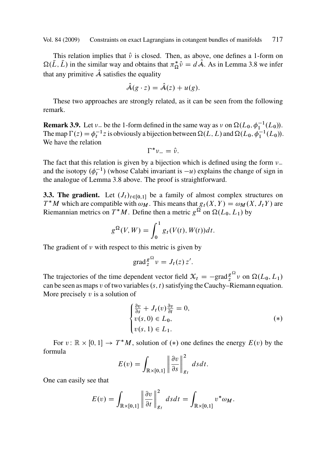This relation implies that  $\hat{v}$  is closed. Then, as above, one defines a 1-form on  $\Omega(L, L)$  in the similar way and obtains that  $\pi_{\Omega}^* \hat{\nu} = d \mathcal{A}$ . As in Lemma 3.8 we infer that any primitive  $\hat{A}$  satisfies the equality

$$
\mathcal{A}(g \cdot z) = \mathcal{A}(z) + u(g).
$$

These two approach[es a](#page-11-0)re strongly related, as it can be seen from the following remark.

**Remark 3.9.** Let  $\nu_{-}$  be the 1-form defined in the same way as  $\nu$  on  $\Omega(L_0, \phi_1^{-1}(L_0))$ .<br>The map  $\Gamma(\epsilon) = \phi^{-1}$  is a physically a bijection between  $\Omega(L_1, L)$  and  $\Omega(L_2, \phi_1^{-1}(L_0))$ . The map  $\Gamma(z) = \phi_t^{-1} z$  is obviously a bijection between  $\Omega(L, L)$  and  $\Omega(L_0, \phi_1^{-1}(L_0))$ .<br>We have the relation We have the relation

$$
\Gamma^*\nu_-=\hat{\nu}.
$$

The fact that this relation is given by a bijection which is defined using the form  $\nu$ , and the isotopy  $(\phi_t^{-1})$  (whose Calabi invariant is  $-u$ ) explains the change of sign in<br>the analogue of Lemma 3.8 above. The proof is straightforward the analogue of Lemma 3.8 above. The proof is straightforward.

**3.3. The gradient.** Let  $(J_t)_{t \in [0,1]}$  be a family of almost complex structures on  $T^*M$  which are compatible with  $\omega_M$ . This means that  $g_t(X, Y) = \omega_M(X, J_tY)$  are<br>Piemannian metrics on  $T^*M$ . Define then a metric  $g_t^{\Omega}$  on  $O(I_s, J_s)$  by Riemannian metrics on  $T^*M$ . Define then a metric  $g^{\Omega}$  on  $\Omega(L_0, L_1)$  by

$$
g^{\Omega}(V, W) = \int_0^1 g_t(V(t), W(t))dt.
$$

The gradient of  $\nu$  with respect to this metric is given by

$$
\operatorname{grad}_{z}^{\mathcal{S}^{\Omega}}\nu=J_{t}(z)\,z'.
$$

The trajectories of the time dependent vector field  $\mathcal{X}_t = -\text{grad} \xi^{2}$   $\nu$  on  $\Omega(L_0, L_1)$ <br>can be seen as mans  $\nu$  of two variables (s, t) satisfying the Cauchy–Riemann equation can be seen as maps v of two variables  $(s, t)$  satisfying the Cauchy–Riemann equation. More precisely  $v$  is a solution of

$$
\begin{cases} \frac{\partial v}{\partial s} + J_t(v) \frac{\partial v}{\partial t} = 0, \\ v(s, 0) \in L_0, \\ v(s, 1) \in L_1. \end{cases} (*)
$$

For  $v : \mathbb{R} \times [0, 1] \to T^*M$ , solution of  $(*)$  one defines the energy  $E(v)$  by the mula formula

$$
E(v) = \int_{\mathbb{R} \times [0,1]} \left\| \frac{\partial v}{\partial s} \right\|_{g_t}^2 ds dt.
$$

One can easily see that

$$
E(v) = \int_{\mathbb{R} \times [0,1]} \left\| \frac{\partial v}{\partial t} \right\|_{g_t}^2 ds dt = \int_{\mathbb{R} \times [0,1]} v^* \omega_M.
$$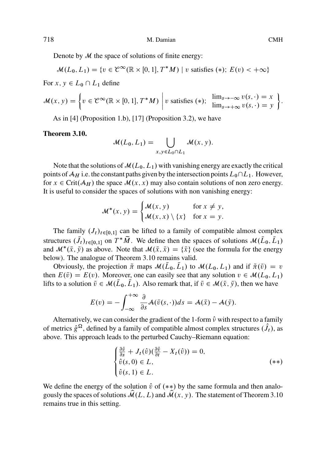Denote by  $M$  the space of solutions of finite energy:

$$
\mathcal{M}(L_0, L_1) = \{ v \in \mathcal{C}^{\infty}(\mathbb{R} \times [0, 1], T^*M) \mid v \text{ satisfies (*); } E(v) < +\infty \}
$$

For  $x, y \in L_0 \cap L_1$  define

$$
\mathcal{M}(x, y) = \left\{ v \in \mathcal{C}^{\infty}(\mathbb{R} \times [0, 1], T^*M) \middle| v \text{ satisfies } (*); \lim_{s \to +\infty} \lim_{s \to +\infty} v(s, \cdot) = x \right\}.
$$

As in [4] (Proposition 1.b), [17] (Proposition 3.2), we have

## **Theorem 3.10.**

$$
\mathcal{M}(L_0, L_1) = \bigcup_{x, y \in L_0 \cap L_1} \mathcal{M}(x, y).
$$

Note that the solutions of  $M(L_0, L_1)$  with vanishing energy are exactly the critical points of  $\mathcal{A}_H$  i.e. the constant paths given by the intersection points  $L_0\cap L_1$ . However, for  $x \in \text{Crit}(\mathcal{A}_H)$  the space  $\mathcal{M}(x, x)$  may also contain solutions of non zero energy. It is useful to consider the spaces of solutions with non vanishing energy:

$$
\mathcal{M}^*(x, y) = \begin{cases} \mathcal{M}(x, y) & \text{for } x \neq y, \\ \mathcal{M}(x, x) \setminus \{x\} & \text{for } x = y. \end{cases}
$$

The family  $(J_t)_{t\in[0,1]}$  can be lifted to a family of compatible almost complex structures  $(J_t)_{t \in [0,1]}$  on  $T^*M$ . We define then the spaces of solutions  $\mathcal{M}(L_0, L_1)$ <br>and  $\mathcal{M}^*(E, \bar{v})$  as above. Note that  $\mathcal{M}(\bar{v}, \bar{v}) = (\bar{v})$  (see the formula for the energy and  $\mathcal{M}^*(\bar{x}, \bar{y})$  as above. Note that  $\mathcal{M}(\bar{x}, \bar{x}) = {\bar{x}}$  (see the formula for the energy helow). The analogue of Theorem 3.10 remains valid below). The analogue of Theorem 3.10 remains valid.

Obviously, the projection  $\tilde{\pi}$  maps  $\mathcal{M}(L_0, L_1)$  to  $\mathcal{M}(L_0, L_1)$  and if  $\tilde{\pi}(\tilde{v}) = v$ <br>a  $F(\tilde{v}) - F(v)$ . Moreover, one can easily see that any solution  $v \in \mathcal{M}(L_0, L_1)$ then  $E(\bar{v}) = E(v)$ . Moreover, one can easily see that any solution  $v \in \mathcal{M}(L_0, L_1)$ lifts to a solution  $\bar{v} \in \mathcal{M}(\bar{L}_0, \bar{L}_1)$ . Also remark that, if  $\bar{v} \in \mathcal{M}(\bar{x}, \bar{y})$ , then we have

$$
E(v) = -\int_{-\infty}^{+\infty} \frac{\partial}{\partial s} \mathcal{A}(\bar{v}(s,\cdot)) ds = \mathcal{A}(\bar{x}) - \mathcal{A}(\bar{y}).
$$

Alternatively, we can consider the gradient of the 1-form  $\hat{v}$  with respect to a family of metrics  $\hat{g}^{\Omega}$ , defined by a family of compatible almost complex structures  $(\hat{J}_t)$ , as above. This approach leads to the perturbed Cauchy. Riemann equation: above. This approach leads to the perturbed Cauchy–Riemann equation:

$$
\begin{cases} \frac{\partial \hat{v}}{\partial s} + J_t(\hat{v}) (\frac{\partial \hat{v}}{\partial t} - X_t(\hat{v})) = 0, \\ \hat{v}(s, 0) \in L, \\ \hat{v}(s, 1) \in L. \end{cases} (*)
$$

We define the energy of the solution  $\hat{v}$  of  $(**)$  by the same formula and then analogously the spaces of solutions  $\mathcal{M}(L, L)$  and  $\mathcal{M}(x, y)$ . The statement of Theorem 3.10 remains true in this setting.

<span id="page-13-0"></span>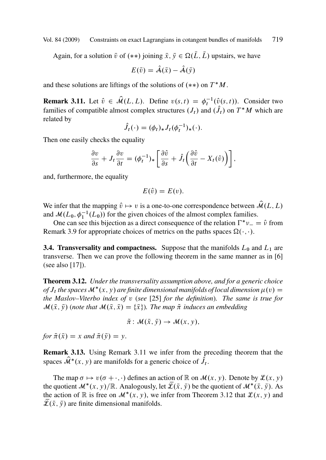<span id="page-14-0"></span>Again, for a solution  $\bar{v}$  of  $(**)$  joining  $\bar{x}, \bar{y} \in \Omega(\bar{L}, \bar{L})$  upstairs, we have

$$
E(\bar{v}) = \hat{A}(\bar{x}) - \hat{A}(\bar{y})
$$

and these solutions are liftings of the solutions of  $(**)$  on  $T^*M$ .

**Remark 3.11.** Let  $\hat{v} \in \mathcal{M}(L, L)$ . Define  $v(s, t) = \phi_t^{-1}(\hat{v}(s, t))$ . Consider two families of compatible elmost complex etmotypes (*L*) and (*f*) on  $T^*M$  which are families of compatible almost complex structures  $(J_t)$  and  $(J_t)$  on  $T^*M$  which are related by

$$
\hat{J}_t(\cdot) = (\phi_t)_* J_t(\phi_t^{-1})_*(\cdot).
$$

Then one easily checks the equality

$$
\frac{\partial v}{\partial s} + J_t \frac{\partial v}{\partial t} = (\phi_t^{-1})_* \left[ \frac{\partial \hat{v}}{\partial s} + \hat{J}_t \left( \frac{\partial \hat{v}}{\partial t} - X_t(\hat{v}) \right) \right],
$$

and, furthermore, the equality

$$
E(\hat{v})=E(v).
$$

We infer that the mapping  $\hat{v} \mapsto v$  is a one-to-one correspondence between  $\hat{\mathcal{M}}(L, L)$ and  $\mathcal{M}(L_0, \phi_1^{-1}(L_0))$  for the given choices of the almost complex families.

One can see this bijection as a dire[ct c](#page-41-0)onsequence of the relation  $\Gamma^* \nu = \hat{\nu}$  from nark 3.9 for appropriate choices of metrics on the paths spaces  $\Omega(\cdot, \cdot)$ Remark 3.9 for appropriate choices of metrics on the paths spaces  $\Omega(\cdot, \cdot)$ .

**3.4. Transversality and compactness.** Suppose that the manifolds  $L_0$  and  $L_1$  are transverse. Then we can prove the following theorem in the same manner as in [6] (see also [17]).

**Theorem 3.12.** *Under the transversality assumption above, and for a generic choice of*  $J_t$  *the spaces*  $\mathcal{M}^*(x, y)$  *are finite dimensional manifolds of local dimension*  $\mu(v) =$ <br>the Maslov-Viterbo index of v (see [25] for the definition). The same is true for *the Maslov–Viterbo index of* v (*see* [25] *for the definition*)*. The same is true for*  $\mathcal{M}(\bar{x},\bar{y})$  (note that  $\mathcal{M}(\bar{x},\bar{x}) = {\bar{x}}$ ). The map  $\tilde{\pi}$  induces an embedding

$$
\tilde{\pi} \colon \mathcal{M}(\bar{x}, \bar{y}) \to \mathcal{M}(x, y),
$$

for  $\tilde{\pi}(\bar{x}) = x$  and  $\tilde{\pi}(\bar{y}) = y$ .

**Remark 3.13.** Using Remark 3.11 we infer from the preceding theorem that the spaces  $\mathcal{M}^*(x, y)$  are manifolds for a generic choice of  $J_t$ .

The map  $\sigma \mapsto v(\sigma + \cdot, \cdot)$  defines an action of R on  $\mathcal{M}(x, y)$ . Denote by  $\mathcal{L}(x, y)$ the quotient  $\mathcal{M}^*(x, y)/\mathbb{R}$ . Analogously, let  $\mathcal{L}(\bar{x}, \bar{y})$  be the quotient of  $\mathcal{M}^*(\bar{x}, \bar{y})$ . As<br>the action of  $\mathbb{R}$  is free on  $\mathcal{M}^*(x, y)$ , we infer from Theorem 3.12 that  $\mathcal{L}(x, y)$  and the action of  $\mathbb R$  is free on  $\mathcal M^*(x, y)$ , we infer from Theorem 3.12 that  $\mathcal L(x, y)$  and  $\overline{\mathcal{L}}(\bar{x},\bar{y})$  are finite dimensional manifolds.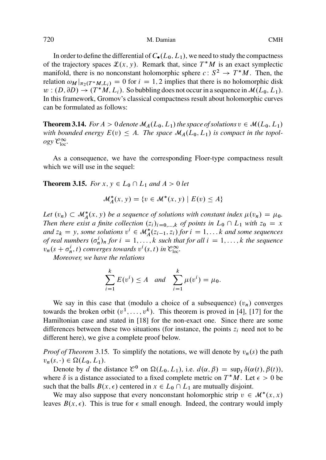In order to define the differential of  $C_{\bullet}(L_0, L_1)$ , we need to study the compactness of the trajectory spaces  $\mathcal{L}(x, y)$ . Remark that, since  $T^*M$  is an exact symplectic manifold, there is no nonconstant holomorphic sphere  $c: S^2 \to T^*M$ . Then, the relation  $\omega_{M}$  and  $\omega_{M} = 0$  for  $i = 1, 2$  implies that there is no holomorphic disk relation  $\omega_M|_{\pi_2(T^*M,L_i)} = 0$  for  $i = 1, 2$  implies that there is no holomorphic disk<br> $w: (D, \partial D) \rightarrow (T^*M, L_i)$ . So bubbling does not occur in a sequence in  $M(L_2, L_1)$ .  $w : (D, \partial D) \to (T^*M, L_i)$ . So bubbling does not occur in a sequence in  $\mathcal{M}(L_0, L_1)$ .<br>In this framework, Gromov's classical compactness result about belomorphic curves In this framework, Gromov's classical compactness result about holomorphic curves can be formulated as follows:

**Theorem 3.14.** *For*  $A > 0$  *denote*  $M_A(L_0, L_1)$  *the space of solutions*  $v \in M(L_0, L_1)$ with bounded energy  $E(v) \leq A$ . The space  $\mathcal{M}_A(L_0, L_1)$  is compact in the topol- $\log y \mathcal{C}_{\text{loc}}^{\infty}$ .

As a consequence, we have the corresponding Floer-type compactness result which we will use in the sequel:

**Theorem 3.15.** *For*  $x, y \in L_0 \cap L_1$  *and*  $A > 0$  *let* 

$$
\mathcal{M}_A^*(x, y) = \{v \in \mathcal{M}^*(x, y) \mid E(v) \le A\}
$$

Let  $(v_n) \subset M_A^*(x, y)$  be a sequence of solutions with constant index  $\mu(v_n) = \mu_0$ .<br>Then there exist a finite collection  $(z_1)$ ,  $z_2 \ldots z_n$  of points in  $I \circ \Omega$ , with  $z_2 = x$ *Then there exist a finite collection*  $(z_i)_{i=0,\dots,k}$  *of points in*  $L_0 \cap L_1$  *with*  $z_0 = x$ and  $z_k = y$ , some solutions  $v^i \in M_A^*(z_{i-1}, z_i)$  for  $i = 1, \ldots, k$  and some sequences *of real numbers*  $(\sigma_n^i)_n$  *for*  $i = 1, ..., k$  $i = 1, ..., k$  *such that for all*  $i = 1, ..., k$  *t[he](#page-41-0) [se](#page-41-0)quence*<br>*n*  $(s + \sigma_i^i, t)$  converges towards  $v^i(s, t)$  in  $\mathcal{C}^{\infty}$  $v_n(s + \sigma_n^i, t)$  converges towards  $v^i(s, t)$  in  $\mathcal{C}_{\text{loc}}^{\infty}$ .<br>Moreover we have the relations

*Moreover, we have the relations*

$$
\sum_{i=1}^{k} E(v^{i}) \le A \text{ and } \sum_{i=1}^{k} \mu(v^{i}) = \mu_0.
$$

We say in this case that (modulo a choice of a subsequence)  $(v_n)$  converges towards the broken orbit  $(v^1,...,v^k)$ . This theorem is proved in [4], [17] for the Hamiltonian case and stated in [18] for the non-exact one. Since there are some differences between these two situations (for instance, the points  $z_i$  need not to be different here), we give a complete proof below.

*Proof of Theorem* 3.15. To simplify the notations, we will denote by  $v_n(s)$  the path  $v_n(s, \cdot) \in \Omega(L_0, L_1).$ 

Denote by d the distance  $\mathcal{C}^0$  on  $\Omega(L_0, L_1)$ , i.e.  $d(\alpha, \beta) = \sup_t \delta(\alpha(t), \beta(t)),$ where  $\delta$  is a distance associated to a fixed complete metric on  $T^*M$ . Let  $\epsilon > 0$  be such that the balls  $B(x, \epsilon)$  centered in  $x \in L_0 \cap L_1$  are mutually disjoint.

We may also suppose that every nonconstant holomorphic strip  $v \in \mathcal{M}^*(x, x)$ <br>Les  $B(x, \epsilon)$ . This is true for  $\epsilon$  small enough. Indeed, the contrary would imply leaves  $B(x, \epsilon)$ . This is true for  $\epsilon$  small enough. Indeed, the contrary would imply

<span id="page-15-0"></span>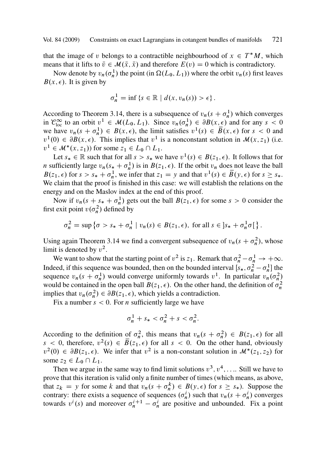that the image of v belongs to a contractible neighbourhood of  $x \in T^*M$ , which<br>means that it lifts to  $\overline{v} \in M(\overline{x}, \overline{x})$  and therefore  $F(v) = 0$  which is contradictory means that it lifts to  $\bar{v} \in \mathcal{M}(\bar{x}, \bar{x})$  and therefore  $E(v) = 0$  which is contradictory.

Now denote by  $v_n(\sigma_n^1)$  the point (in  $\Omega(L_0, L_1)$ ) where the orbit  $v_n(s)$  first leaves  $B(x, \epsilon)$ . It is given by

$$
\sigma_n^1 = \inf \left\{ s \in \mathbb{R} \mid d(x, v_n(s)) > \epsilon \right\}.
$$

According to Theorem 3.14, there is a subsequence of  $v_n(s + \sigma_n^1)$  which converges<br>in  $\mathcal{C}^{\infty}$  to an orbit  $v^1 \in M(I \circ I)$ . Since  $v_n(\sigma^1) \in \partial R(x, \epsilon)$  and for any  $s > 0$ in  $\mathcal{C}_{loc}^{\infty}$  to an orbit  $v^1 \in \mathcal{M}(L_0, L_1)$ . Since  $v_n(\sigma_n^1) \in \partial B(x, \epsilon)$  and for any  $s < 0$ <br>we have  $v_n(s + \sigma^1) \in B(x, \epsilon)$  the limit satisfies  $v^1(s) \in \overline{B}(x, \epsilon)$  for  $s < 0$  and we have  $v_n(s + \sigma_n^1) \in B(x, \epsilon)$ , the limit satisfies  $v^1(s) \in \overline{B}(x, \epsilon)$  for  $s < 0$  and  $v^1(0) \in BR(x, \epsilon)$ . This implies that  $v^1$  is a nonconstant solution in  $M(x, z)$  (i.e.  $v^1(0) \in \partial B(x, \epsilon)$ . This implies that  $v^1$  is a nonconstant solution in  $\mathcal{M}(x, z_1)$  (i.e.  $v^1 \in \mathcal{M}^*(x, z_1)$  for some  $z_1 \in L_0 \cap L_1$ .<br>Let  $s \in \mathbb{R}$  such that for all  $s > s$ , we

Let  $s_* \in \mathbb{R}$  such that for all  $s > s_*$  we have  $v^1(s) \in B(z_1, \epsilon)$ . It follows that for if given the such that if  $R(z, \epsilon)$  if the orbit  $v$ , does not leave the ball *n* sufficiently large  $v_n(s_* + \sigma_n^1)$  is in  $B(z_1, \epsilon)$ . If the orbit  $v_n$  does not leave the ball  $B(z, \epsilon)$  for  $s > s + \sigma^1$ , we infer that  $z_* = v$  and that  $v^1(s) \in \overline{B}(v, \epsilon)$  for  $s > s$  $B(z_1, \epsilon)$  for  $s > s_* + \sigma_n^1$ , we infer that  $z_1 = y$  and that  $v^1(s) \in \overline{B}(y, \epsilon)$  for  $s \geq s_*$ .<br>We claim that the proof is finished in this case; we will establish the relations on the We claim that the proof is finished in this case: we will establish the relations on the energy and on the Maslov index at the end of this proof.

Now if  $v_n(s + s_* + \sigma_n^1)$  gets out the ball  $B(z_1, \epsilon)$  for some  $s > 0$  consider the texit point  $v(\sigma^2)$  defined by first exit point  $v(\sigma_n^2)$  defined by

$$
\sigma_n^2 = \sup \left\{ \sigma > s_* + \sigma_n^1 \mid v_n(s) \in B(z_1, \epsilon), \text{ for all } s \in ]s_* + \sigma_n^1 \sigma[ \right\}.
$$

Using again Theorem 3.14 we find a convergent subsequence of  $v_n(s + \sigma_n^2)$ , whose limit is denoted by  $v^2$ . limit is denoted by  $v^2$ .

We want to show that the starting point of  $v^2$  is  $z_1$ . Remark that  $\sigma_n^2 - \sigma_n^1 \rightarrow +\infty$ . Indeed, if this sequence was bounded, then on the bounded interval  $[s_*, \sigma_n^2 - \sigma_n^1]$  the sequence  $y_i$   $(s + \sigma_1^1)$  would converge uniformly towards  $y_i^1$ . In particular  $y_i (\sigma_1^2)$ sequence  $v_n(s + \sigma_n^1)$  would converge uniformly towards  $v^1$ . In particular  $v_n(\sigma_n^2)$ <br>would be contained in the open ball  $R(z, \epsilon)$ . On the other hand, the definition of  $\sigma^2$ would be contained in the open ball  $B(z_1, \epsilon)$ . On the other hand, the definition of  $\sigma_n^2$ implies that  $v_n(\sigma_n^2) \in \partial B(z_1, \epsilon)$ , which yields a contradiction.<br>Fix a number  $s < 0$ . For *n* sufficiently large we have

Fix a number  $s < 0$ . For *n* sufficiently large we have

$$
\sigma_n^1 + s_* < \sigma_n^2 + s < \sigma_n^2.
$$

According to the definition of  $\sigma_n^2$ , this means that  $v_n(s + \sigma_n^2) \in B(z_1, \epsilon)$  for all  $s < 0$ , therefore  $v^2(s) \in \overline{B}(z, \epsilon)$  for all  $s < 0$ . On the other hand, obviously  $s < 0$ , therefore,  $v^2(s) \in \overline{B}(z_1, \epsilon)$  for all  $s < 0$ . On the other hand, obviously  $v^2(0) \in \partial B(z_1, \epsilon)$ . We infer that  $v^2$  is a non-constant solution in  $\mathcal{M}^*(z_1, z_2)$  for some  $z_2 \in L_0 \cap L_1$ .

Then we argue in the same way to find limit solutions  $v^3$ ,  $v^4$ , .... Still we have to prove that this iteration is valid only a finite number of times (which means, as above, that  $z_k = y$  for some k and that  $v_n(s + \sigma_n^k) \in B(y, \epsilon)$  for  $s \geq s_*$ ). Suppose the contrary: there exists a sequence of sequences  $(\sigma^i)$  such that  $v_i(s + \sigma^i)$  converges contrary: there exists a sequence of sequences  $(\sigma_n^i)$  such that  $v_n(s + \sigma_n^i)$  converges<br>towards  $v^i(s)$  and moreover  $\sigma^{i+1} - \sigma^i$  are positive and unbounded. Fix a point towards  $v^i(s)$  and moreover  $\sigma_n^{i+1} - \sigma_n^i$  are positive and unbounded. Fix a point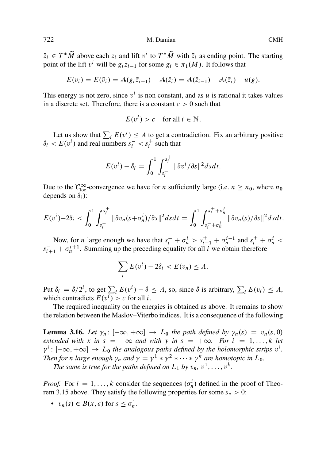<span id="page-17-0"></span> $\bar{z}_i \in T^*$ <br>noint of  $\tilde{M}$  above each  $z_i$  and lift  $v^i$  to  $T^*\tilde{M}$  with  $\bar{z}_i$  as ending point. The starting the lift  $\bar{v}^i$  will be  $\alpha, \bar{z}$ . for some  $\alpha \in \pi_1(M)$ . It follows that point of the lift  $\bar{v}^i$  will be  $g_i \bar{z}_{i-1}$  for some  $g_i \in \pi_1(M)$ . It follows that

$$
E(v_i) = E(\bar{v}_i) = \mathcal{A}(g_i \bar{z}_{i-1}) - \mathcal{A}(\bar{z}_i) = \mathcal{A}(\bar{z}_{i-1}) - \mathcal{A}(\bar{z}_i) - u(g).
$$

This energy is not zero, since  $v^i$  is non constant, and as u is rational it takes values in a discrete set. Therefore, there is a constant  $c>0$  such that

$$
E(v^i) > c \quad \text{for all } i \in \mathbb{N}.
$$

Let us show that  $\sum_i E(v^i) \le A$  to get a contradiction. Fix an arbitrary positive  $E(v^i)$  and real numbers  $s^- \le s^+$  such that  $\delta_i < E(v^i)$  and real numbers  $s_i^- < s_i^+$  such that

$$
E(v^i) - \delta_i = \int_0^1 \int_{s_i^-}^{s_i^+} ||\partial v^i / \partial s||^2 ds dt.
$$

Due to the  $\mathcal{C}_{\infty}^{\infty}$ -convergence we have for *n* sufficiently large (i.e.  $n \ge n_0$ , where  $n_0$  denends on  $\delta$ .) depends on  $\delta_i$ ):

$$
E(v^{i})-2\delta_{i} < \int_{0}^{1} \int_{s_{i}^{-}}^{s_{i}^{+}} \|\partial v_{n}(s+\sigma_{n}^{i})/\partial s\|^{2} dsdt = \int_{0}^{1} \int_{s_{i}^{-}+\sigma_{n}^{i}}^{s_{i}^{+}+\sigma_{n}^{i}} \|\partial v_{n}(s)/\partial s\|^{2} dsdt.
$$

Now, for *n* large enough we have that  $s_i^- + \sigma_n^i > s_{i-1}^+ + \sigma_n^{i-1}$  and  $s_i^+ + \sigma_n^i <$ <br> $\sigma_n^i$   $\sim$   $\sigma_i^{i+1}$ . Summing up the preceding equality for all *i* we obtain therefore  $s_{i+1}^- + \sigma_n^{i+1}$ . Summing up the preceding equality for all i we obtain therefore

$$
\sum_i E(v^i) - 2\delta_i < E(v_n) \leq A.
$$

Put  $\delta_i = \delta/2^i$ , to get  $\sum_i E(v^i) - \delta \leq A$ , so, since  $\delta$  is arbitrary,  $\sum_i E(v_i) \leq A$ , which contradicts  $E(v^i) > c$  for all  $i$ which contradicts  $E(v^i) > c$  for all *i*.

The required inequality on the energies is obtained as above. It remains to show the [relatio](#page-15-0)n between the Maslov–Viterbo indices. It is a consequence of the following

**Lemma 3.16.** Let  $\gamma_n : [-\infty, +\infty] \to L_0$  the path defined by  $\gamma_n(s) = v_n(s, 0)$ *extended with* x *in*  $s = -\infty$  *and with* y *in*  $s = +\infty$ *. For*  $i = 1, \ldots, k$  *let*  $\gamma^i : [-\infty, +\infty] \to L_0$  the analogous paths defined by the holomorphic strips  $v^i$ .<br>Then for n large enough  $y$  and  $y = y^1 * y^2 * \dots * y^k$  are homotopic in L<sub>0</sub>. Then for *n* large enough  $\gamma_n$  and  $\gamma = \gamma^1 * \gamma^2 * \cdots * \gamma^k$  are homotopic in  $L_0$ .<br>The same is true for the paths defined on  $L_1$  by  $v = v^1$ 

*The same is true for the paths defined on*  $L_1$  *by*  $v_n$ ,  $v^1$ , ...,  $v^k$ .

*Proof.* For  $i = 1, ..., k$  consider the sequences  $(\sigma_n^i)$  defined in the proof of Theorem 3.15 above. They satisfy the following properties for some  $s \geq 0$ . rem 3.15 above. They satisfy the following properties for some  $s_* > 0$ :

•  $v_n(s) \in B(x, \epsilon)$  for  $s \leq \sigma_n^1$ .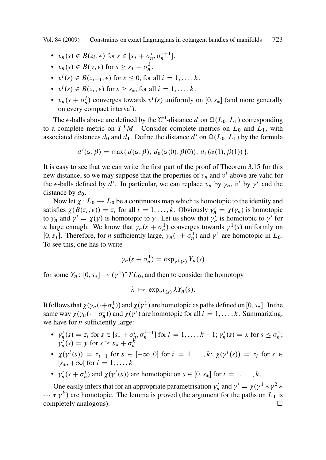- $v_n(s) \in B(z_i, \epsilon)$  for  $s \in [s_* + \sigma_n^i, \sigma_n^{i+1}]$ .
- $v_n(s) \in B(y, \epsilon)$  for  $s \geq s_* + \sigma_n^k$ .
- $v^i(s) \in B(z_{i-1}, \epsilon)$  for  $s \le 0$ , for all  $i = 1, ..., k$ .
- $v^i(s) \in B(z_i, \epsilon)$  for  $s \geq s_*$ , for all  $i = 1, ..., k$ .
- $v_n(s + \sigma_n^i)$  converges towards  $v^i(s)$  uniformly on [0, s<sub>\*</sub>] (and more generally on every compact interval) on every compact interval).

The  $\epsilon$ -balls above are defined by the  $\mathcal{C}^0$ -distance d on  $\Omega(L_0, L_1)$  corresponding to a complete metric on  $T^*M$ . Consider complete metrics on  $L_0$  and  $L_1$ , with associated distances  $d_0$  and  $d_1$ . Define the distance  $d'$  on  $\Omega(L_0, L_1)$  by the formula

$$
d'(\alpha, \beta) = \max\{ d(\alpha, \beta), d_0(\alpha(0), \beta(0)), d_1(\alpha(1), \beta(1)) \}.
$$

It is easy to see that we can write the first part of the proof of Theorem 3.15 for this new distance, so we may suppose that the properties of  $v_n$  and  $v^i$  above are valid for the  $\epsilon$ -balls defined by d'. In particular, we can replace  $v_n$  by  $\gamma_n$ ,  $v^i$  by  $\gamma^i$  and the distance by  $d_0$ .

Now let  $\chi: L_0 \to L_0$  be a continuous map which is homotopic to the identity and satisfies  $\chi(B(z_i, \epsilon)) = z_i$  for all  $i = 1, ..., k$ . Obviously  $\gamma'_n = \chi(\gamma_n)$  is homotopic<br>to  $\chi$  and  $\chi' = \chi(\gamma)$  is homotopic to  $\chi$ . Let us show that  $\chi'$  is homotopic to  $\chi'$  for to  $\gamma_n$  and  $\gamma' = \chi(\gamma)$  is homotopic to  $\gamma$ . Let us show that  $\gamma'_n$  is homotopic to  $\gamma'$  for  $n$  large enough. We know that  $\chi$  (s  $\pm \sigma^1$ ) converges towards  $\chi^1(s)$  uniformly on *n* large enough. We know that  $\gamma_n(s + \sigma_n^1)$  converges towards  $\gamma^1(s)$  uniformly on  $[0, s]$ . Therefore, for *n* sufficiently large,  $\gamma$ ,  $(0, \pm \sigma_1^1)$  and  $\gamma^1$  are homotonic in  $I_{\infty}$ .  $[0, s_*]$ . Therefore, for *n* sufficiently large,  $\gamma_n(\cdot + \sigma_n^1)$  and  $\gamma^1$  are homotopic in  $L_0$ .<br>To see this, one has to write To see this, one has to write

$$
\gamma_n(s+\sigma_n^1)=\exp_{\gamma^1(s)}Y_n(s)
$$

for some  $Y_n: [0, s_*] \to (\gamma^1)^*TL_0$ , and then to consider the homotopy

$$
\lambda \mapsto \exp_{\gamma^1(s)} \lambda Y_n(s).
$$

It follows that  $\chi(\gamma_n(\cdot+\sigma_n^1))$  and  $\chi(\gamma^1)$  are homotopic as paths defined on  $[0, s_*]$ . In the same way  $\chi(\gamma_n(\cdot + \sigma_n^i))$  and  $\chi(\gamma^i)$  are homotopic for all  $i = 1, ..., k$ . Summarizing, we have for  $n$  sufficiently large:

- $\gamma'_n(s) = z_i$  for  $s \in [s_* + \sigma_n^i, \sigma_n^{i+1}]$  for  $i = 1, ..., k-1; \gamma'_n(s) = x$  for  $s \leq \sigma_n^1$ ;<br>  $\gamma'(s) = y$  for  $s > s_* + \sigma_n^k$  $\gamma'_n(s) = y \text{ for } s \geq s_* + \sigma_n^k.$
- $\chi(\gamma^i(s)) = z_{i-1}$  for  $s \in [-\infty, 0]$  for  $i = 1, ..., k; \chi(\gamma^i(s)) = z_i$  for  $s \in$  $[s_*, +\infty[$  for  $i = 1, ..., k$ .
- $\gamma'_n(s + \sigma_n^i)$  and  $\chi(\gamma^i(s))$  are homotopic on  $s \in [0, s_*]$  for  $i = 1, ..., k$ .

One easily infers that for an appropriate parametrisation  $\gamma'_n$  and  $\gamma' = \chi(\gamma^1 * \gamma^2 * \gamma^2)$ <br>\*  $\nu^k$ ) are homotonic. The lemma is proved (the argument for the paths on L, is  $k(x, y)$  are homotopic. The lemma is proved (the argument for the paths on  $L_1$  is completely analogous) completely analogous).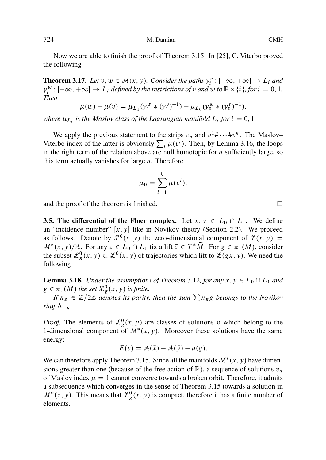Now we are able to finish the proof of Theorem 3.15. In [25], C. Viterbo proved the following

**Theorem 3.17.** Let  $v, w \in M(x, y)$ . Consider the paths  $\gamma_i^v : [-\infty, +\infty] \to L_i$  and  $w^w : [-\infty, +\infty] \to L_i$  defined by the restrictions of v and w to  $\mathbb{R} \times \{i\}$  for  $i = 0, 1$ .  $\gamma_i^w$ :  $[-\infty, +\infty] \to L_i$  *defined by the restrictions of* v *and* w *to*  $\mathbb{R} \times \{i\}$ *, for*  $i = 0, 1$ *.*<br>Then *Then*

$$
\mu(w) - \mu(v) = \mu_{L_1}(\gamma_1^w * (\gamma_1^v)^{-1}) - \mu_{L_0}(\gamma_0^w * (\gamma_0^v)^{-1}),
$$

where  $\mu_{L_i}$  is the Maslov class of the Lagrangian manifold  $L_i$  for  $i = 0, 1$ .

We apply the previous statement to the strips  $v_n$  and  $v^1 \# \cdots \# v^k$ . The Maslov– Viterbo index of the latter is obviously  $\sum_i \mu(v^i)$ . Then, by Lemma 3.16, the loops in the right term of the relation above are null homotopic for  $n$  sufficiently large, so this term actually vanishes for large  $n$ . Therefore

$$
\mu_0 = \sum_{i=1}^k \mu(v^i),
$$

and the proof of the theorem is finished.

**3.5. The differential of the Floer complex.** Let  $x, y \in L_0 \cap L_1$ . We define an "incidence number"  $[x, y]$  like in Novikov theory (Section 2.2). We proceed as follows. Denote by  $\mathcal{L}^0(x, y)$  the zero-dimensional component of  $\mathcal{L}(x, y) =$  $\mathcal{M}^*(x, y)/\mathbb{R}$ . For any  $z \in L_0 \cap L_1$  fix a lift  $\overline{z} \in T^*M$ . For  $g \in \pi_1(M)$ , consider the subset  $\mathcal{P}^0(x, y) \subset \mathcal{P}^0(x, y)$  of trajectories which lift to  $\mathcal{P}(\sigma \overline{y}, \overline{y})$ . We need the the subset  $\mathcal{L}_g^0(x, y) \subset \mathcal{L}^0(x, y)$  of trajectories which lift to  $\mathcal{L}(g\bar{x}, \bar{y})$ . We need the following following

**Lemma 3.18.** *Under the assumptions of Theorem 3.12, for any*  $x, y \in L_0 \cap L_1$  *and*  $g \in \pi_1(M)$  the set  $\mathcal{L}^0_g(x, y)$  is [finite.](#page-15-0)<br>If  $g \in \mathbb{Z}/2\mathbb{Z}$  denotes its parity.

*If*  $n_g \in \mathbb{Z}/2\mathbb{Z}$  *denotes its parity, then the sum*  $\sum n_g g$  *belongs to the Novikov ring*  $\Lambda_{-u}$ .

*Proof.* The elements of  $\mathcal{L}_{g}^{0}(x, y)$  are classes of solutions v which belong to the 1-dimensional component of  $\mathcal{M}^*(x, y)$ . Moreover these solutions have the same energy:

$$
E(v) = \mathcal{A}(\bar{x}) - \mathcal{A}(\bar{y}) - u(g).
$$

We can therefore apply Theorem 3.15. Since all the manifolds  $\mathcal{M}^*(x, y)$  have dimensions greater than one (because of the free action of  $\mathbb{R}$ ), a sequence of solutions  $v_n$ of Maslov index  $\mu = 1$  cannot converge towards a broken orbit. Therefore, it admits a subsequence which converges in the sense of Theorem 3.15 towards a solution in  $\mathcal{M}^*(x, y)$ . This means that  $\mathcal{L}^0_g(x, y)$  is compact, therefore it has a finite number of elements.

 $\Box$ 

<span id="page-19-0"></span>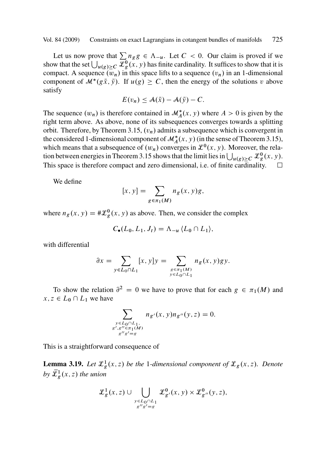<span id="page-20-0"></span>Let us now prove that  $\sum n_g g \in \Lambda_{-u}$  $\sum n_g g \in \Lambda_{-u}$  $\sum n_g g \in \Lambda_{-u}$ . Let  $C < 0$ . Our claim is proved if we show that the set  $\bigcup_{u(g) \ge C} \mathcal{L}_{g}^0(x, y)$  has finite cardinality. It suffices to show t[hat it i](#page-15-0)s compact. A sequence  $(u)$  in this space lift compact. A sequence  $(\overline{w}_n)$  in this space lifts to a sequence  $(v_n)$  in an 1-dimensional component of  $\mathcal{M}^*(g\bar{x}, \bar{y})$ . If  $u(g) \geq C$ , then the energy of the solutions v above satisfy satisfy

$$
E(v_n) \leq \mathcal{A}(\bar{x}) - \mathcal{A}(\bar{y}) - C.
$$

The sequence  $(w_n)$  is therefore contained in  $\mathcal{M}_A^*(x, y)$  where  $A > 0$  is given by the right term above. As above, none of its subsequences converges towards a splitting orbit. Therefore, by Theorem 3.15,  $(v_n)$  admits a subsequence which is convergent in the considered 1-dimensional component of  $\mathcal{M}_{A}^{*}(x, y)$  (in the sense of Theorem 3.15), which means that a subsequence of  $(w_n)$  converges in  $\mathcal{L}^0(x, y)$ . Moreover, the relation between energies in Theorem 3.15 shows that the limit lies in  $\bigcup_{u(g)\geq C} \mathcal{L}_g^0(x, y)$ .<br>This space is therefore compact and zero dimensional, i.e. of finite cardinality. This space is therefore compact and zero dimensional, i.e. of finite cardinality.

We define

$$
[x, y] = \sum_{g \in \pi_1(M)} n_g(x, y)g,
$$

where  $n_g(x, y) = #\mathcal{L}_g^0(x, y)$  as above. Then, we consider the complex

$$
C_{\bullet}(L_0,L_1,J_t)=\Lambda_{-u}\,\langle L_0\cap L_1\rangle,
$$

with differential

$$
\partial x = \sum_{y \in L_0 \cap L_1} [x, y] y = \sum_{\substack{g \in \pi_1(M) \\ y \in L_0 \cap L_1}} n_g(x, y) g y.
$$

To show the relation  $\partial^2 = 0$  we have to prove that for each  $g \in \pi_1(M)$  and  $x, z \in L_0 \cap L_1$  we have

$$
\sum_{\substack{y \in L_0 \cap L_1, \\ g', g'' \in \pi_1(M) \\ g''g' = g}} n_{g'}(x, y) n_{g''}(y, z) = 0.
$$

This is a straightforward consequence of

**Lemma 3.19.** Let  $\mathcal{L}_{g}^{1}(x, z)$  be the 1-dimensional component of  $\mathcal{L}_{g}(x, z)$ . Denote by  $\bar{\mathcal{L}}_g^1(x, z)$  the union

$$
\mathcal{L}_g^1(x, z) \cup \bigcup_{\substack{y \in L_0 \cap L_1 \\ g''g' = g}} \mathcal{L}_{g'}^0(x, y) \times \mathcal{L}_{g''}^0(y, z),
$$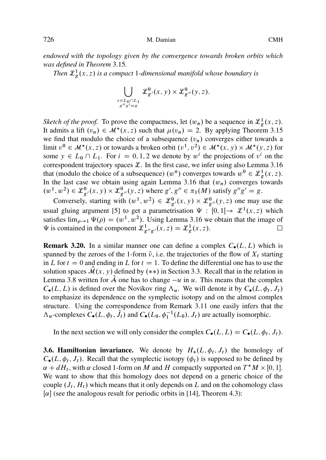<span id="page-21-0"></span>*endowed with the topology given by the convergence towards broken orbits [which](#page-15-0) was defined in Theorem* 3.15*.*

*Then*  $\mathcal{L}_{g}^{1}(x, z)$  *is a compact* 1-dimensional manifold whose boundary is

$$
\bigcup_{\substack{y \in L_0 \cap L_1 \\ g''g' = g}} \mathcal{L}_{g'}^0(x, y) \times \mathcal{L}_{g''}^0(y, z).
$$

*Sketch of the proof.* To prove the compactness, let  $(w_n)$  be a sequence in  $\mathcal{L}_g^1(x, z)$ . It admits a lift  $(v_n) \in M^*(x, z)$  such that  $\mu(v_n) = 2$ . By applying Theorem 3.15 we find that modulo the choice of a subsequence  $(v_n)$  converges either towards a w[e](#page-40-0) find that modulo the [c](#page-40-0)hoice of a subsequence  $(v_n)$  converges either towards a limit  $v^0 \in M^*(x, z)$  $v^0 \in M^*(x, z)$  or towards a broken orbit  $(v^1, v^2) \in M^*(x, y) \times M^*(y, z)$  for some  $y \in I \circ \bigcap I$ . For  $i = 0, 1, 2$  we denote by  $w^i$  the projections of  $y^i$  on the some  $y \in L_0 \cap L_1$ . For  $i = 0, 1, 2$  we denote by  $w^i$  the projections of  $v^i$  on the correspondent trajectory spaces  $\mathcal{L}$ . In the first case, we infer using also Lemma 3.16 that (modulo the choice of a subsequence)  $(w^n)$  converges towards  $w^0 \in \mathcal{L}_g^1(x, z)$ .<br>In the last case we obtain using again Lemma 3.16 that  $(w_1)$  converges towards In the last case we obtain using again Lemma 3.16 that  $(w_n)$  converges towards  $(w^{1}, w^{2}) \in \mathcal{L}_{g}^{0}(x, y) \times \mathcal{L}_{g}^{0}(y, z)$  where  $g', g'' \in \pi_{1}(M)$  satisfy  $g''g' = g$ .<br>Comments statisfy with  $(w^{1}, w^{2}) \in \mathcal{L}_{g}^{0}(x, y) \times \mathcal{L}_{g}^{0}(y, z)$  and we were

Con[vers](#page-11-0)ely, starting with  $(w^1, w^2) \in \mathcal{L}_{g'}^0(x, y) \times \mathcal{L}_{g''}^0(y, z)$  one may use the usual gluing argument [5] to get a parametrisation  $\Psi : [0,1] \rightarrow \mathcal{L}^1(x,z)$  which satisfies  $\lim_{\rho \to 1} \Psi(\rho) = (w^1, w^2)$ . Using Lemma 3.16 we obtain that the image of  $\Psi$  is contained in the component  $\mathcal{L}^1$ ,  $f(x, z) = \mathcal{L}^1(x, z)$ .  $\Psi$  is contained in the component  $\mathcal{L}^1_{g''g'}(x, z) = \mathcal{L}^1_g(x, z)$ .

**Remark 3.20.** In a similar manner one can define a complex  $C_{\bullet}(L, L)$  which is spanned by the zeroes of the 1-form  $\hat{v}$ , i.e. the trajectories of the flow of  $X_t$  starting in L for  $t = 0$  and ending in L for  $t = 1$ . To define the differential one has to use the solution spaces  $\mathcal{M}(x, y)$  defined by  $(**)$  in Section 3.3. Recall that in the relation in Lemma 3.8 written for A one has to change  $-u$  in u. This means that the complex  $C_{\bullet}(L, L)$  is defined over the Novikov ring  $\Lambda_u$ . We will denote it by  $C_{\bullet}(L, \phi_t, J_t)$ to emphasize its dependence on the symplectic isotopy and on the almost complex structure. Using the correspondence from Remark 3.11 one easily infers that the  $\Lambda_u$ -complexes  $C_{\bullet}(L, \phi_t, \hat{J}_t)$  and  $C_{\bullet}(L_0, \phi_1^{-1}(L_0), J_t)$  are actually isomorphic.

In the next section we will only consider the complex  $C_{\bullet}(L, L) = C_{\bullet}(L, \phi_t, J_t)$ .

**3.6. Hamiltonian invariance.** We denote by  $H_*(L, \phi_t, J_t)$  the homology of  $C(L, \phi, J_t)$ . Recall that the symplectic isotomy  $(\phi_t)$  is symposed to be defined by  $C_{\bullet}(L, \phi_t, J_t)$ . Recall that the symplectic isotopy  $(\phi_t)$  is supposed to be defined by  $\alpha + dH_t$ , with  $\alpha$  closed 1-form on M and H compactly supported on  $T^*M \times [0, 1]$ .<br>We want to show that this homology does not depend on a generic choice of the We want to show that this homology does not depend on a generic choice of the couple  $(J_t, H_t)$  which means that it only depends on L and on the cohomology class  $[\alpha]$  (see the analogous result for periodic orbits in [14], Theorem 4.3):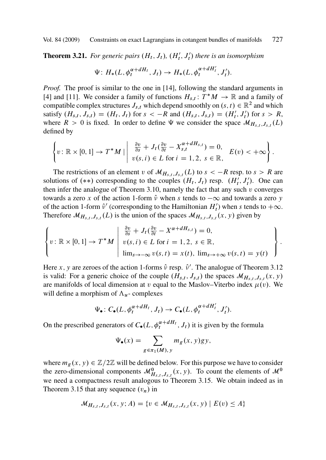**Theorem 3.21.** For generic pairs  $(H_t, J_t)$ ,  $(H'_t, J'_t)$  there is an isomorphism

$$
\Psi\colon H_*(L,\phi_t^{\alpha+dH_t},J_t)\to H_*(L,\phi_t^{\alpha+dH'_t},J'_t).
$$

*Proof.* The proof is similar to the one in [14], following the standard arguments in [4] and [11]. We consider a family of functions  $H_{s,t} : T^*M \to \mathbb{R}$  and a family of compatible complex structures  $I_{s}$ , which depends moothly on  $(s, t) \in \mathbb{R}^2$  and which compatible complex structures  $J_{s,t}$  which depend smoothly on  $(s, t) \in \mathbb{R}^2$  and which satisfy  $(H_{s,t}, J_{s,t}) = (H_t, J_t)$  for  $s < -R$  $s < -R$  and  $(H_{s,t}, J_{s,t}) = (H'_t, J'_t)$  for  $s > R$ ,<br>where  $R > 0$  is fixed. In order to define W we consider the space  $M_{t,t}$ ,  $I_t$ where  $R>0$  is fixed. In order to define  $\Psi$  we consider the space  $\mathcal{M}_{H_{s,t},J_{s,t}}(L)$ defined by

$$
\left\{v:\mathbb{R}\times[0,1]\to T^*M\mid\left|\begin{array}{c}\frac{\partial v}{\partial s}+J_t(\frac{\partial v}{\partial t}-X^{\alpha+dH_{s,t}}_{s,t})=0,\\v(s,i)\in L\text{ for }i=1,2,\ s\in\mathbb{R},\end{array}\right|E(v)<+\infty\right\}.
$$

The restrictions of an element v of  $\mathcal{M}_{H_{s,t},J_{s,t}}(L)$  to  $s < -R$  resp. to  $s > R$  are solutions of  $(**)$  corresponding to the couples  $(H_t, J_t)$  resp.  $(H'_t, J'_t)$ . One can<br>then infer the analogue of Theorem 3.10, namely the fact that any such y converges then infer the analogue of Theorem 3.10, namely the fact that any such  $v$  conv[erges](#page-14-0) towards a zero x of the action 1-form  $\hat{v}$  when s tends to  $-\infty$  and towards a zero y of the action 1-form  $\hat{v}'$  (corresponding to the Hamiltonian  $H'_l$ ) when s tends to  $+\infty$ .<br>Therefore  $M_{II}$ ,  $I_l$  (I) is the union of the spaces  $M_{II}$ ,  $I_l$  (x, y) given by Therefore  $\mathcal{M}_{H_{s,t},J_{s,t}}(L)$  is the union of the spaces  $\mathcal{M}_{H_{s,t},J_{s,t}}(x, y)$  given by

$$
\left\{v: \mathbb{R} \times [0,1] \to T^*M \; \middle| \; \begin{array}{l} \frac{\partial v}{\partial s} + J_t(\frac{\partial v}{\partial t} - X^{\alpha + dH_{s,t}}) = 0, \\ v(s,i) \in L \; \text{for} \; i = 1,2, \; s \in \mathbb{R}, \\ \lim_{s \to -\infty} v(s,t) = x(t), \; \lim_{s \to +\infty} v(s,t) = y(t) \end{array} \right\}.
$$

Here x, y are zeroes of the action 1-forms  $\hat{v}$  resp.  $\hat{v}'$ . The analogue of Theorem 3.12<br>is valid: For a generic choice of the couple  $(H_1, I_2)$  the spaces  $M_{II}$ ,  $f(x, y)$ is valid: For a generic choice of the couple  $(H_{s,t}, J_{s,t})$  the spaces  $\mathcal{M}_{H_{s,t}, J_{s,t}}(x, y)$ are manifolds of local dimension at v equal to the Maslov–Viterbo index  $\mu(v)$ . We will define a morphism of  $\Lambda_u$ - complexes

$$
\Psi_{\bullet}: C_{\bullet}(L, \phi_t^{\alpha + dH_t}, J_t) \to C_{\bullet}(L, \phi_t^{\alpha + dH'_t}, J'_t).
$$

On the prescribed generators of  $C_{\bullet}(L, \phi_t^{\alpha+dH_t}, J_t)$  it is given by the formula

$$
\Psi_{\bullet}(x) = \sum_{g \in \pi_1(M), y} m_g(x, y) gy,
$$

where  $m_g(x, y) \in \mathbb{Z}/2\mathbb{Z}$  will be defined below. For this purpose we have to consider the zero-dimensional components  $\mathcal{M}_{B,s,t}^0$ ,  $J_{s,t}$   $(x, y)$ . To count the elements of  $\mathcal{M}^0$ <br>we need a compostness result analogous to Theorem 3.15. We obtain indeed as in we need a compactness result analogous to Theorem 3.15. We obtain indeed as in Theorem 3.15 that any sequence  $(v_n)$  in

$$
M_{H_{s,t},J_{s,t}}(x, y; A) = \{v \in M_{H_{s,t},J_{s,t}}(x, y) \mid E(v) \leq A\}
$$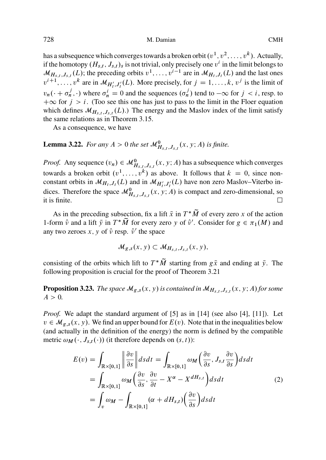<span id="page-23-0"></span>has a subsequence which converges towards a broken orbit  $(v^1, v^2, \ldots, v^k)$ . Actually, if the homotopy  $(H_{s,t}, J_{s,t})_s$  is not trivial, only precisely one  $v^i$  in the limit belongs to  $M_{H_s,t}, J_{s,t}(L)$ ; the preceding orbits  $v^1, \ldots, v^{i-1}$  are in  $M_{H_t}, J_t(L)$  and the last ones  $v^{i+1}, \ldots, v^k$  are in  $\mathcal{M}_{H'_i, J'_i}(L)$ . More precisely, for  $j = 1, \ldots, k, v^j$  is the limit of  $v_n(\cdot + \sigma_n^j, \cdot)$  where  $\sigma_n^i = 0$  and the sequences  $(\sigma_n^j)$  tend to  $-\infty$  for  $j < i$ , resp. to  $+\infty$  for  $j > i$ . (Too see this one has just to pass to the limit in the Eloer equation  $+\infty$  for  $j > i$ . (Too see this one has just to pass to the limit in the Floer equation which defines  $\mathcal{M}_{H_s,t}$ ,  $J_{s,t}$  (L).) The energy and the Maslov index of the limit satisfy the same relations as in Theorem 3.15.

As a consequence, we have

**Lemma 3.22.** *For any*  $A > 0$  *the set*  $\mathcal{M}_{H_{s,t},J_{s,t}}^0(x, y; A)$  *is finite.* 

*Proof.* Any sequence  $(v_n) \in \mathcal{M}_{H_{s,t},J_{s,t}}^0(x, y; A)$  has a subsequence which converges towards a broken orbit  $(v^1, \ldots, v^k)$  as above. It follows that  $k = 0$ , since nonconstant orbits in  $\mathcal{M}_{H_t, J_t}(L)$  and in  $\mathcal{M}_{H'_t, J'_t}(L)$  have non zero Maslov–Viterbo in-<br>diese. Therefore the grasse  $\mathcal{M}_t$  .  $\mathcal{M}_{H'_t, J'_t}(L)$  is aggregated aggregating and dices. Therefore the space  $\mathcal{M}_{H_{s,t},J_{s,t}}^0(x, y; A)$  is compa[ct and](#page-21-0) zero-dimensional, so it is finite it is finite.  $\Box$  $\Box$ 

As in the preceding subsection, fix a lift  $\bar{x}$  in  $T^*M$  of every zero x of the action<br>orm  $\hat{y}$  and a lift  $\bar{y}$  in  $T^*\tilde{M}$  for every zero x of  $\hat{y}'$ . Consider for  $g \in \pi_2(M)$  and 1-form  $\hat{v}$  and a lift  $\bar{y}$  in  $T^*M$  for every zero y of  $\hat{v}'$ . Consider for  $g \in \pi_1(M)$  and any two zeroes x, y of  $\hat{v}$  resp.  $\hat{v}'$  the space any two zeroes x, y of  $\hat{v}$  resp.  $\hat{v}'$  the space

$$
\mathcal{M}_{g,s}(x,y)\subset \mathcal{M}_{H_{s,t},J_{s,t}}(x,y),
$$

consisting of the orbits which lift to  $T^*M$  starting from  $g\bar{x}$  and ending at  $\bar{y}$ . The following proposition is crucial for the proof of Theorem 3.21 following proposition is crucial for the proof of Theorem 3.21

**Proposition 3.23.** *The space*  $\mathcal{M}_{g,s}(x, y)$  *is contained in*  $\mathcal{M}_{H_{s,t},J_{s,t}}(x, y; A)$  *for some*  $A>0$ .

*Proof.* We adapt the standard argument of [5] as in [14] (see also [4], [11]). Let  $v \in \mathcal{M}_{g,s}(x, y)$ . We find an upper bound for  $E(v)$ . Note that in the inequalities below (and actually in the definition of the energy) the norm is defined by the compatible metric  $\omega_M(\cdot, J_{s,t}(\cdot))$  (it therefore depends on  $(s, t)$ ):

$$
E(v) = \int_{\mathbb{R}\times[0,1]} \left\| \frac{\partial v}{\partial s} \right\| ds dt = \int_{\mathbb{R}\times[0,1]} \omega_M \left( \frac{\partial v}{\partial s}, J_{s,t} \frac{\partial v}{\partial s} \right) ds dt
$$
  
= 
$$
\int_{\mathbb{R}\times[0,1]} \omega_M \left( \frac{\partial v}{\partial s}, \frac{\partial v}{\partial t} - X^{\alpha} - X^{dH_{s,t}} \right) ds dt
$$
  
= 
$$
\int_{v} \omega_M - \int_{\mathbb{R}\times[0,1]} (\alpha + dH_{s,t}) \left( \frac{\partial v}{\partial s} \right) ds dt
$$
 (2)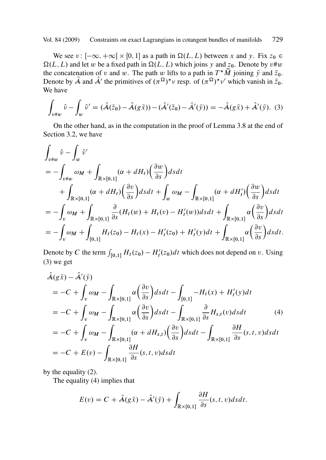We see  $v: [-\infty, +\infty] \times [0, 1]$  as a path in  $\Omega(L, L)$  between x [and](#page-11-0) y. Fix  $z_0 \in$  $\Omega(L, L)$  and let w be a fixed path in  $\Omega(L, L)$  which joins y and  $z_0$ . Denote by  $v \# w$ the concatenation of v and w. The path w lifts to a path in  $T^*M$  joining  $\bar{y}$  and  $\bar{z}_0$ .<br>Denote by  $\hat{A}$  and  $\hat{A}'$  the primitives of  $(\pi^{\Omega})^*$  v resp. of  $(\pi^{\Omega})^*$  which vanish in  $\bar{z}_0$ . Denote by  $\hat{\mathcal{A}}$  and  $\hat{\mathcal{A}}'$  the primitives of  $(\pi^{\Omega})^* \nu$  resp. of  $(\pi^{\Omega})^* \nu'$  which vanish in  $\bar{z}_0$ .<br>We have We have

$$
\int_{v\#w} \hat{v} - \int_{w} \hat{v}' = (\hat{A}(\bar{z}_0) - \hat{A}(g\bar{x})) - (\hat{A}'(\bar{z}_0) - \hat{A}'(\bar{y})) = -\hat{A}(g\bar{x}) + \hat{A}'(\bar{y}).
$$
 (3)

On the other hand, as in the computation in the proof of Lemma 3.8 at the end of Section 3.2, we have

$$
\int_{v\#w} \hat{v} - \int_{w} \hat{v}'
$$
\n
$$
= -\int_{v\#w} \omega_{M} + \int_{\mathbb{R}\times[0,1]} (\alpha + dH_{t}) \left(\frac{\partial w}{\partial s}\right) ds dt
$$
\n
$$
+ \int_{\mathbb{R}\times[0,1]} (\alpha + dH_{t}) \left(\frac{\partial v}{\partial s}\right) ds dt + \int_{w} \omega_{M} - \int_{\mathbb{R}\times[0,1]} (\alpha + dH_{t}') \left(\frac{\partial w}{\partial s}\right) ds dt
$$
\n
$$
= -\int_{v} \omega_{M} + \int_{\mathbb{R}\times[0,1]} \frac{\partial}{\partial s} (H_{t}(w) + H_{t}(v) - H_{t}'(w)) ds dt + \int_{\mathbb{R}\times[0,1]} \alpha \left(\frac{\partial v}{\partial s}\right) ds dt
$$
\n
$$
= -\int_{v} \omega_{M} + \int_{[0,1]} H_{t}(z_{0}) - H_{t}(x) - H_{t}'(z_{0}) + H_{t}'(y) dt + \int_{\mathbb{R}\times[0,1]} \alpha \left(\frac{\partial v}{\partial s}\right) ds dt.
$$

Denote by C the term  $\int_{[0,1]} H_t(z_0) - H'_t(z_0) dt$  which does not depend on v. Using (3) we get (3) we get

$$
\hat{\mathcal{A}}(g\bar{x}) - \hat{\mathcal{A}}'(\bar{y})
$$
\n
$$
= -C + \int_{v} \omega_{M} - \int_{\mathbb{R}\times[0,1]} \alpha \left(\frac{\partial v}{\partial s}\right) ds dt - \int_{[0,1]} -H_{t}(x) + H'_{t}(y) dt
$$
\n
$$
= -C + \int_{v} \omega_{M} - \int_{\mathbb{R}\times[0,1]} \alpha \left(\frac{\partial v}{\partial s}\right) ds dt - \int_{\mathbb{R}\times[0,1]} \frac{\partial}{\partial s} H_{s,t}(v) ds dt \qquad (4)
$$
\n
$$
= -C + \int_{v} \omega_{M} - \int_{\mathbb{R}\times[0,1]} (\alpha + dH_{s,t}) \left(\frac{\partial v}{\partial s}\right) ds dt - \int_{\mathbb{R}\times[0,1]} \frac{\partial H}{\partial s}(s, t, v) ds dt
$$
\n
$$
= -C + E(v) - \int_{\mathbb{R}\times[0,1]} \frac{\partial H}{\partial s}(s, t, v) ds dt
$$

by the equality (2).

The equality (4) implies that

$$
E(v) = C + \hat{A}(g\bar{x}) - \hat{A}'(\bar{y}) + \int_{\mathbb{R}\times[0,1]} \frac{\partial H}{\partial s}(s,t,v) ds dt.
$$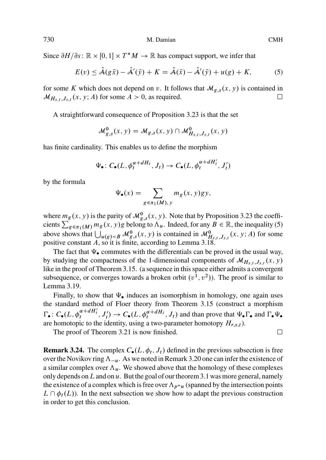Since  $\partial H/\partial s : \mathbb{R} \times [0, 1] \times T^*M \to \mathbb{R}$  has compact support, we infer that

$$
E(v) \leq \hat{\mathcal{A}}(g\bar{x}) - \hat{\mathcal{A}}'(\bar{y}) + K = \hat{\mathcal{A}}(\bar{x}) - \hat{\mathcal{A}}'(\bar{y}) + u(g) + K,\tag{5}
$$

for some K which does not depend on v. It follows that  $\mathcal{M}_{g,s}(x, y)$  is contained in  $\mathcal{M}_{H_{s,t},J_{s,t}}(x, y; A)$  for some  $A>0$ , as required.  $\Box$ 

A straightforward consequence of Proposition 3.23 is that the set

$$
\mathcal{M}_{g,s}^0(x,y) = \mathcal{M}_{g,s}(x,y) \cap \mathcal{M}_{H_{s,t},J_{s,t}}^0(x,y)
$$

has finite cardinality. This enables us to define the morphism

$$
\Psi_{\bullet} \colon C_{\bullet}(L, \phi_t^{\alpha + dH_t}, J_t) \to C_{\bullet}(L, \phi_t^{\alpha + dH'_t}, J'_t)
$$

by the formula

$$
\Psi_{\bullet}(x) = \sum_{g \in \pi_1(M), y} m_g(x, y) gy,
$$

where  $m_g(x, y)$  is the parity of  $\mathcal{M}_{g,s}^0(x, y)$ . Note that by Proposition 3.23 the coefficients  $\sum_{g \in \pi_1(M)} m_g(x, y)$ g belong to  $\Lambda_u$ . Indeed, for [any](#page-15-0)  $B \in \mathbb{R}$ , the inequality (5) above shows that  $\bigcup_{u(g) < B} M_{g,s}^0(x, y)$  is contained in  $M_{H_{s,t},J_{s,t}}^0(x, y; A)$  for some positive constant A, so it is finite

The fact that  $\Psi_{\bullet}$  commutes with the differentials can be proved in the usual way, by studying the compact[ness](#page-21-0) [o](#page-21-0)f the 1-dimensional components of  $\mathcal{M}_{H_s,t}$ ,  $J_{s,t}$   $(x, y)$ like in the proof of Theorem 3.15. (a sequence in this space either admits a convergent subsequence, or converges towards a broken orbit  $(v<sup>1</sup>, v<sup>2</sup>)$ . The proof is similar to Lemma 3.19.

Finally, to show that  $\Psi_{\bullet}$  induces an isomorphism in homology, one again uses the standard method of Floer theory from Theorem [3.15](#page-6-0) (construct a morphism  $\Gamma_{\bullet}: C_{\bullet}(L, \phi_t^{\alpha + dH_t'}$  $\mathcal{L}_t^{a+dH'_t}, J'_t) \to C_{\bullet}(L, \phi_t^{a+dH_t}, J_t)$  and than prove that  $\Psi_{\bullet} \Gamma_{\bullet}$  and  $\Gamma_{\bullet} \Psi_{\bullet}$ <br>is to the identity using a two-parameter homotopy  $H_{\bullet}$ . are homotopic to the identity, using a two-parameter homotopy  $H_{r,s,t}$ ).

The proof of Theorem 3.21 is now finished.

 $\Box$ 

**Remark 3.24.** The complex  $C_{\bullet}(L, \phi_t, J_t)$  defined in the previous subsection is free over the Novikov ring  $\Lambda_{-\nu}$ . As we noted in Remark 3.20 one can infer the existence of a similar complex over  $\Lambda_u$ . We showed above that the homology of these complexes only depends on L and on  $u$ . But the goal of our theorem 3.1 was more general, namely the existence of a complex which is free over  $\Lambda_{p^*u}$  (spanned by the intersection points  $L \cap \phi_t(L)$ . In the next subsection we show how to adapt the previous construction in order to get this conclusion.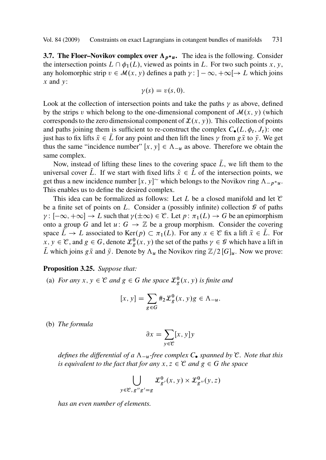<span id="page-26-0"></span>**3.7. The Floer–Novikov complex over**  $\Lambda_{p^*u}$ **.** The idea is the following. Consider the intersection points  $L \cap \phi_1(L)$ , viewed as points in L. For two such points x, y, any holomorphic strip  $v \in \mathcal{M}(x, y)$  defines a path  $\gamma : ]-\infty, +\infty[\rightarrow L$  which joins  $x$  and  $y$ :

$$
\gamma(s)=v(s,0).
$$

Look at the collection of intersection points and take the paths  $\gamma$  as above, defined by the strips v which belong to the one-dimensional component of  $\mathcal{M}(x, y)$  (which corresponds to the zero dimensional component of  $\mathcal{L}(x, y)$ . This collection of points and paths joining them is sufficient to re-construct the complex  $C_{\bullet}(L, \phi_t, J_t)$ : one just has to fix lifts  $\bar{x} \in \bar{L}$  for any point and then lift the lines  $\gamma$  from  $g\bar{x}$  to  $\bar{y}$ . We get thus the same "incidence number" [x, y]  $\in \Lambda_{-\nu}$  as above. Therefore we obtain the same complex.

Now, instead of lifting these lines to the covering space  $\overline{L}$ , we lift them to the universal cover  $\tilde{L}$ . If we start with fixed lifts  $\tilde{x} \in \tilde{L}$  of the intersection points, we get thus a new incidence number  $[x, y]^{\sim}$  which belongs to the Novikov ring  $\Lambda_{-p^*u}$ .<br>This anables us to define the desired complex This enables us to define the desired complex.

This idea can be formalized as follows: Let L be a closed manifold and let  $\mathcal C$ be a finite set of points on L. Consider a (possibly infinite) collection  $\mathcal G$  of paths  $\gamma : [-\infty, +\infty] \to L$  such that  $\gamma(\pm \infty) \in \mathcal{C}$ . Let  $p : \pi_1(L) \to G$  be an epimorphism<br>onto a group G and let  $u : G \to \mathbb{Z}$  be a group morphism. Consider the covering onto a group G and let  $u: G \to \mathbb{Z}$  be a group morphism. Consider the covering space  $L \to L$  associated to  $\text{Ker}(p) \subset \pi_1(L)$ . For any  $x \in \mathcal{C}$  fix a lift  $\bar{x} \in L$ . For  $x, y \in \mathcal{C}$  and  $g \in G$  denote  $\mathcal{L}^0(x, y)$  the set of the paths  $y \in \mathcal{C}$  which have a lift in  $x, y \in \mathcal{C}$ , and  $g \in G$ , denote  $\mathcal{L}_g^0(x, y)$  the set of the paths  $\gamma \in \mathcal{G}$  which have a lift in  $\overline{f}$  which is just  $g \bar{g}$  and  $\overline{g}$ . Denote by A, the Novikov ring  $\mathbb{Z}/2[G]$ . Now we prove  $\overline{L}$  which joins  $g\overline{x}$  and  $\overline{y}$ . Denote by  $\Lambda_u$  the Novikov ring  $\mathbb{Z}/2 [G]_u$ . Now we prove:

#### **Proposition 3.25.** *Suppose that:*

(a) *For any*  $x, y \in \mathcal{C}$  *and*  $g \in G$  *the space*  $\mathcal{L}_{g}^{0}(x, y)$  *is finite and* 

$$
[x, y] = \sum_{g \in G} #_2 \mathcal{L}_g^0(x, y)g \in \Lambda_{-u}.
$$

(b) *The formula*

$$
\partial x = \sum_{y \in \mathcal{C}} [x, y] y
$$

*defines the differential of a*  $\Lambda_{-\nu}$ -free complex  $C_{\bullet}$  *spanned by*  $\mathcal{C}$ *. Note that this is equivalent to the fact that for any*  $x, z \in C$  *and*  $g \in G$  *the space* 

$$
\bigcup_{y \in \mathcal{C}, g''g' = g} \mathcal{L}_{g'}^0(x, y) \times \mathcal{L}_{g''}^0(y, z)
$$

*has an even number of elements.*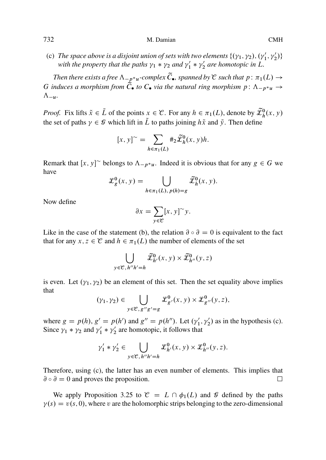(c) The space above is a disjoint union of sets with two elements  $\{(y_1, y_2), (y_1', y_2')\}$ <br>with the property that the paths  $y_1 * y_2$  and  $y'_1 * y'_2$  are homotopic in I with the property that the paths  $\gamma_1 * \gamma_2$  and  $\gamma'_1 * \gamma'_2$  are homotopic in L.

*Then there exists a free*  $\Lambda_{p^*u}$ -complex  $\tilde{C}_{\bullet}$ , spanned by  $\mathcal C$  *such that*  $p: \pi_1(L) \to$ <br>nduces a morphism from  $\tilde{C}_{\bullet}$  to  $C_{\bullet}$  yis the natural ring morphism  $p: \Lambda$ G *induces a morphism from*  $\tilde{C}_{\bullet}$  *to*  $C_{\bullet}$  *via the natural ring morphism*  $p: \Lambda_{-p^*u} \to \Lambda$  $\Lambda_{-u}$ .

*Proof.* Fix lifts  $\tilde{x} \in \tilde{L}$  of the points  $x \in \mathcal{C}$ . For any  $h \in \pi_1(L)$ , denote by  $\tilde{\mathcal{L}}_h^0(x, y)$  the set of nother  $x \in \mathcal{C}$  which lift in  $\tilde{L}$  to note is ining  $h \tilde{z}$  and  $\tilde{z}$ . Then define the set of paths  $\gamma \in \mathcal{G}$  which lift in  $\tilde{L}$  to paths joining  $h\tilde{x}$  and  $\tilde{y}$ . Then define

$$
[x, y] \sim = \sum_{h \in \pi_1(L)} \#_2 \widetilde{\mathcal{L}}_h^0(x, y) h.
$$

Remark that  $[x, y]^\sim$  belongs to  $\Lambda_{-p^*u}$ . Indeed it is obvious that for any  $g \in G$  we have have

$$
\mathcal{L}_g^0(x, y) = \bigcup_{h \in \pi_1(L), \, p(h) = g} \widetilde{\mathcal{L}}_h^0(x, y).
$$

Now define

$$
\partial x = \sum_{y \in \mathcal{C}} [x, y]^\sim y.
$$

Like in the case of the statement (b), the relation  $\partial \circ \partial = 0$  is equivalent to the fact that for any  $x, z \in \mathcal{C}$  and  $h \in \pi_1(L)$  the number of elements of the set

$$
\bigcup_{y \in \mathcal{C}, h''h'=h} \widetilde{\mathcal{L}}_{h'}^0(x, y) \times \widetilde{\mathcal{L}}_{h''}^0(y, z)
$$

is even. Let  $(\gamma_1, \gamma_2)$  be an element of this set. Then the set equality above implies that

$$
(\gamma_1, \gamma_2) \in \bigcup_{y \in \mathcal{C}, g''g' = g} \mathcal{L}_{g'}^0(x, y) \times \mathcal{L}_{g''}^0(y, z),
$$

where  $g = p(h), g' = p(h')$  [an](#page-26-0)d  $g'' = p(h'')$ . Let  $(\gamma'_1, \gamma'_2)$  as in the hypothesis (c).<br>Since  $\gamma_1 * \gamma_2$  and  $\gamma' * \gamma'$  are homotopic, it follows that Since  $\gamma_1 * \gamma_2$  and  $\gamma'_1 * \gamma'_2$  are homotopic, it follows that

$$
\gamma_1' * \gamma_2' \in \bigcup_{y \in \mathcal{C}, h''h'=h} \mathcal{L}_{h'}^0(x, y) \times \mathcal{L}_{h''}^0(y, z).
$$

Therefore, using (c), the latter has an even number of elements. This implies that  $\partial \circ \partial = 0$  and proves the proposition.  $\Box$ 

We apply Proposition 3.25 to  $\mathcal{C} = L \cap \phi_1(L)$  and  $\mathcal{G}$  defined by the paths  $y(s) = v(s, 0)$ , where v are the holomorphic strips belonging to the zero-dimensional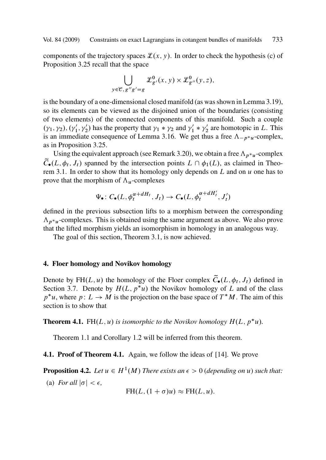<span id="page-28-0"></span>components of the trajectory spaces  $\mathcal{L}(x, y)$ . In order to check the hypothesis (c) of Proposition 3.25 [recal](#page-26-0)l that the space

$$
\bigcup_{y \in \mathcal{C}, g''g'=g} \mathcal{L}_{g'}^0(x, y) \times \mathcal{L}_{g''}^0(y, z),
$$

is th[e](#page-6-0) [bo](#page-6-0)undary of a one-dimensional closed manifold (as was shown in Lemma 3.19), so its elements can be viewed as the disjoined union of the boundaries (consisting of two elements) of the connected components of this manifold. Such a couple  $(\gamma_1, \gamma_2), (\gamma'_1, \gamma'_2)$  has the property that  $\gamma_1 * \gamma_2$  and  $\gamma'_1 * \gamma'_2$  are homotopic in L. This is an immediate consequence of Lemma 3.16. We get thus a free  $\Lambda$   $\rightarrow$  -complex is an immediate consequence of Lemma 3.16. We get thus a free  $\Lambda_{-p^*u}$ -complex, as in Proposition 3.25.

Using the equivalent approach (see Remark 3.20), we obtain a free  $\Lambda_{p^*u}$ -complex  $\tilde{C}_{\bullet}(L, \phi_t, J_t)$  spanned by the interse[ctio](#page-6-0)n points  $L \cap \phi_1(L)$ , as claimed in Theorem 3.1. In order to show that its homology only depends on  $L$  and on  $u$  one has to prove that the morphism of  $\Lambda_u$ -complexes

$$
\Psi_{\bullet} \colon C_{\bullet}(L, \phi_t^{\alpha + dH_t}, J_t) \to C_{\bullet}(L, \phi_t^{\alpha + dH'_t}, J'_t)
$$

defined in the previous subsection lifts to a morphism between the corresponding  $\Lambda_{p^*u}$ -complexes. This is obtained using the same argument as above. We also prove that the lifted morphism yields an isomorphism in homology in an analogous way.

The goal of this section, Theorem 3.1, is now achieved.

# **4. Floer ho[molo](#page-1-0)gy and Novi[kov h](#page-1-0)omology**

Denote by FH $(L, u)$  the homology of the Floer complex  $\widetilde{C}_{\bullet}(L, \phi_t, J_t)$  defined in Section 3.7. Denote by  $H(L, p^*u)$  the Novikov homology of L and of the class  $p^*u$ , where  $p: L \to M$  is the projection on the base space of  $T^*M$ . The aim of this section is to show that section is to show that

**Theorem 4.1.** FH $(L, u)$  is isomorphic to the Novikov homology  $H(L, p^*u)$ .

Theorem 1.1 and Corollary 1.2 will be inferred from this theorem.

**4.1. Proof of Theorem 4.1.** Again, we follow the ideas of [14]. We prove

**Proposition 4.2.** *Let*  $u \in H^1(M)$  *There exists an*  $\epsilon > 0$  *(depending on u*) *such that:* 

(a) *For all*  $|\sigma| < \epsilon$ ,

$$
FH(L, (1 + \sigma)u) \approx FH(L, u).
$$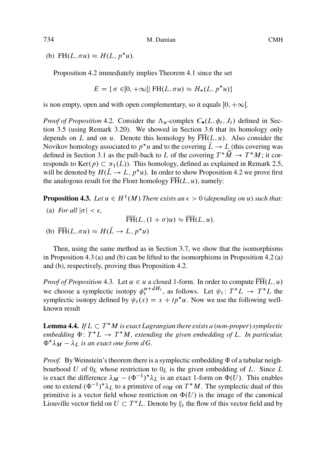(b) FH $(L, \sigma u) \approx H(L, p^*u)$  $(L, \sigma u) \approx H(L, p^*u)$  $(L, \sigma u) \approx H(L, p^*u)$ .

Proposition 4.2 immediately implies Theorem 4.1 since the set

$$
E = \{ \sigma \in ]0, +\infty[| \text{ FH}(L, \sigma u) \approx H_*(L, p^* u) \}
$$

is non empty, open and with open complementary, so it equals  $[0, +\infty[$ .

*Proof of Proposition* 4.2. Consider the  $\Lambda_u$ -complex  $C_{\bullet}(L, \phi_t, J_t)$  defined in Section 3.5 (using Remark 3.20). We showed in Section 3.6 that its homology only depends on L and on u. Denote this homology by  $\overline{FH}(L, u)$ . Also consider the Novikov homology associated to  $p^*u$  and to the covering  $L \to L$  (this covering was<br>defined in Section 3.1 as the pull-back to L of the covering  $T^*\widetilde{M} \to T^*M$ : it condefined in Section 3.1 as the pull-back to L of the covering  $T^*M \to T^*M$ ; it corresponds to  $Ker(n) \subset \pi_1(I)$ ). This homology defined as explained in Remark 2.5 responds to  $\text{Ker}(p) \subset \pi_1(L)$ ). This homology, defined as explained in Remark 2.5,<br>will be denoted by  $H(\overline{I} \to I - n^*\nu)$ . In order to show Proposition 4.2 we prove first will be denoted by  $H(L \to L, p^*u)$ . In order to show Proposition 4.2 we prove first<br>the analogous result for the Floer homology  $\overline{EH}(L, u)$  namely: the analogous result for the Floer homology  $\overline{FH}(L, u)$ , namely:

**Proposition 4.3.** *Let*  $u \in H^1(M)$  *There exists an*  $\epsilon > 0$  *(depending on u) such that:* 

(a) *For all*  $|\sigma| < \epsilon$ ,

$$
\overline{\text{FH}}(L, (1+\sigma)u) \approx \overline{\text{FH}}(L, u).
$$

(b)  $\overline{FH}(L, \sigma u) \approx H(L \to L, p^*u)$ 

Then, using the same method as in Section 3.7, we show that the isomorphisms in Proposition 4.3 (a) and (b) can be lifted to the isomorphisms in Proposition 4.2 (a) and (b), respectively, proving thus Proposition 4.2.

*Proof of Proposition* 4.3. Let  $\alpha \in u$  a closed 1-form. In order to compute  $\overline{PH}(L, u)$  we choose a symplectic isotopy  $\phi_t^{\alpha+ dH_t}$ , as follows. Let  $\psi_t : T^*L \to T^*L$  the symplectic isotopy defined by  $\psi_t(x) = x + t r^* \alpha$ . symplectic isotopy defined by  $\psi_t(x) = x + tp^* \alpha$ . Now we use the following wellknown result

**Lemma 4.4.** If  $L \subset T^*M$  is exact Lagrangian there exists a (non-proper) symplectic embedding  $\Phi: T^*L \to T^*M$  extending the given embedding of L. In particular *embedding*  $\Phi: T^*L \to T^*M$ , extending the given embedding of L. In particular,  $\Phi^* \lambda \nu = \lambda \nu$  is an exact one form dG  $\Phi^*\lambda_M - \lambda_L$  is an exact one form  $dG$ .

*Proof.* By Weinstein's theorem there is a symplectic embedding  $\Phi$  of a tubular neighbourhood U of  $0_L$  whose restriction to  $0_L$  is the given embedding of L. Since L is exact the difference  $\lambda_M - (\Phi^{-1})^* \lambda_L$  is an exact 1-form on  $\Phi(U)$ . This enables<br>one to extend  $(\Phi^{-1})^* \lambda_L$  to a primitive of  $\omega_M$  on  $T^*M$ . The symplectic dual of this one to extend  $(\Phi^{-1})^* \lambda_L$  to a primitive of  $\omega_M$  on  $T^*M$ . The symplectic dual of this primitive is a vector field whose restriction on  $\Phi(U)$  is the image of the canonical Liouville vector field on  $U \subset T^*L$ . Denote by  $\xi_t$  the flow of this vector field and by

<span id="page-29-0"></span>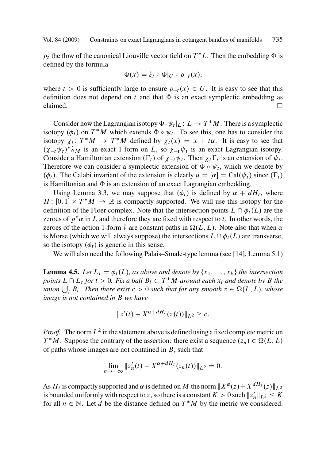<span id="page-30-0"></span> $\rho_t$  the flow of the canonical Liouville vector field on  $T^*L$ . Then the embedding  $\Phi$  is defined by the formula

$$
\Phi(x) = \xi_t \circ \Phi|_{U} \circ \rho_{-t}(x),
$$

where  $t>0$  is sufficiently large to ensure  $\rho_{-t}(x) \in U$ . It is easy to see that this definition does not depend on t and that  $\Phi$  is an exact symplectic embedding as claimed.  $\Box$ 

Consider now t[he](#page-7-0) [L](#page-7-0)agrangian isotopy  $\Phi \circ \psi_t |_L : L \to T^*M$ . There is a symplectic one (d) on  $T^*M$  which extends  $\Phi \circ \psi_t$ . To see this, one has to consider the isotopy  $(\phi_t)$  on  $T^*M$  which extends  $\Phi \circ \psi_t$ . To see this, one has to consider the isotopy  $\chi_t$ .  $T^*M \to T^*M$  defined by  $\chi_t(\chi) = \chi + t\alpha$ . It is easy to see that isotopy  $\chi_t: T^*M \to T^*M$  defined by  $\chi_t(x) = x + t\alpha$ . It is easy to see that  $(x, y|t)$ , is an exact Laterm on  $L$ , so  $x, y|t$ , is an exact Latermaian isotopy  $(\chi_{-t}\psi_t)^* \lambda_M$  is an exact 1-form on L, so  $\chi_{-t}\psi_t$  is an exact Lagrangian isotopy.<br>Consider a Hamiltonian extension (E) of  $\chi_{-t}\psi_t$ . Then  $\chi$  E is an extension of  $\psi_t$ . Consider a Hamiltonian extension  $(\Gamma_t)$  of  $\chi_{-t}\psi_t$ . Then  $\chi_t\Gamma_t$  is an extension of  $\psi_t$ .<br>Therefore we can consider a symplectic extension of  $\Phi$  a  $\psi_t$ , which we denote by Therefore we can consider a symplectic extension of  $\Phi \circ \psi_t$ , which we denote by  $(\phi_t)$ [.](#page-41-0) The Calabi invariant of the extension is clearly  $u = [\alpha] = \text{Cal}(\psi_t)$  since  $(\Gamma_t)$ <br>is Hamiltonian and  $\Phi$  is an extension of an exact L agrangian embedding is Hamiltonian and  $\Phi$  is an extension of an exact Lagrangian embedding.

Using Lemma 3.3, we may suppose that  $(\phi_t)$  is defined by  $\alpha + dH_t$ , where  $H: [0, 1] \times T^*M \to \mathbb{R}$  is compactly supported. We will use this isotopy for the definition of the Floer complex. Note that the intersection points  $I \n\odot \phi_0(I)$  are the definition of the Floer complex. Note that the intersection points  $L \cap \phi_t(L)$  are the zeroes of  $p^*\alpha$  in L and therefore they are fixed with respect to t. In other words, the zeroes of the action 1-form  $\hat{v}$  are constant paths in  $\Omega(L, L)$ . Note also that when  $\alpha$ is Morse (which we will always suppose) the intersections  $L \cap \phi_t(L)$  are transverse, so the isotopy  $(\phi_t)$  is generic in this sense.

We will also need the following Palais–Smale-type lemma (see [14], Lemma 5.1)

**Lemma 4.5.** Let  $L_t = \phi_t(L)$ , as above and denote by  $\{x_1, \ldots, x_k\}$  the intersection *points*  $L \cap L_t$  *for*  $t > 0$ *. Fix a ball*  $B_i \subset T^*M$  *around each*  $x_i$  *and denote by*  $B$  *the*<br>union  $\Box R$ *. Then there exist*  $c > 0$  such that for any smooth  $z \in O(L, L)$  whose  $u$ *nion*  $\bigcup_i B_i$ *. Then there exist*  $c > 0$  *such that for any smooth*  $z \in \Omega(L, L)$ *, whose*<br>*image* is not contained in **B** we have *image is not contained in* B *we have*

$$
||z'(t) - X^{\alpha + dH_t}(z(t))||_{L^2} \geq c.
$$

*Proof.* The norm  $L^2$  in the statement above is defined using a fixed complete metric on  $T^*M$ . Suppose the contrary of the assertion: there exist a sequence  $(z_n) \in \Omega(L, L)$ <br>of paths whose images are not contained in R, such that of paths whose images are not contained in  $B$ , such that

$$
\lim_{n \to +\infty} \|z'_n(t) - X^{\alpha + dH_t}(z_n(t))\|_{L^2} = 0.
$$

As  $H_t$  is compactly supported and  $\alpha$  is defined on M the norm  $||X^{\alpha}(z)+X^{dH_t}(z)||_{L^2}$ is bounded uniformly with respect to z, so there is a constant  $K > 0$  such  $||z'_n||_{L^2} \leq K$ <br>for all  $n \in \mathbb{N}$ . Let d be the distance defined on  $T^*M$  by the metric we considered for all  $n \in \mathbb{N}$ . Let d be the distance defined on  $T^*M$  by the metric we considered.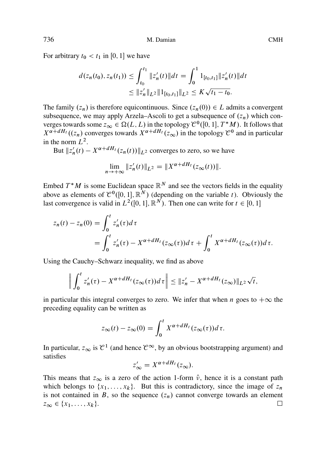For arbitrary  $t_0 < t_1$  in [0, 1] we have

$$
d(z_n(t_0), z_n(t_1)) \le \int_{t_0}^{t_1} \|z'_n(t)\| dt = \int_0^1 1_{[t_0, t_1]} \|z'_n(t)\| dt
$$
  

$$
\le \|z'_n\|_{L^2} \|1_{[t_0, t_1]}\|_{L^2} \le K\sqrt{t_1 - t_0}.
$$

The family  $(z_n)$  is therefore equicontinuous. Since  $(z_n(0)) \in L$  admits a convergent subsequence, we may apply Arzela–Ascoli to get a subsequence of  $(z_n)$  which converges towards some  $z_{\infty} \in \Omega(L, L)$  in the topology  $\mathcal{C}^0([0, 1], T^*M)$ . It follows that  $X^{\alpha+dH_t}(\tau_{\infty})$  converges towards  $X^{\alpha+dH_t}(\tau_{\infty})$  in the topology  $\mathcal{C}^0$  and in particular  $X^{\alpha+dH_t}$  ( $(z_n)$ ) converges towards  $X^{\alpha+dH_t}$   $(z_\infty)$  in the topology  $\mathcal{C}^0$  and in particular in the norm  $L^2$ .

But  $||z'_n(t) - X^{\alpha + dH_t}(z_n(t))||_{L^2}$  converges to zero, so we have

$$
\lim_{n \to +\infty} \|z'_n(t)\|_{L^2} = \|X^{\alpha + dH_t}(z_\infty(t))\|.
$$

Embed  $T^*M$  is some Euclidean space  $\mathbb{R}^N$  and see the vectors fields in the equality above as elements of  $\mathcal{C}^0([0,1], \mathbb{R}^N)$  (depending on the variable t). Obviously the last convergence is valid in  $L^2([0, 1], \mathbb{R}^N)$ . Then one can write for  $t \in [0, 1]$ 

$$
z_n(t) - z_n(0) = \int_0^t z'_n(\tau) d\tau
$$
  
= 
$$
\int_0^t z'_n(\tau) - X^{\alpha + dH_t}(z_\infty(\tau)) d\tau + \int_0^t X^{\alpha + dH_t}(z_\infty(\tau)) d\tau.
$$

Using the Cauchy–Schwarz inequality, we find as above

$$
\left\| \int_0^t z'_n(\tau) - X^{\alpha + dH_t}(z_\infty(\tau)) d\tau \right\| \leq \|z'_n - X^{\alpha + dH_t}(z_\infty)\|_{L^2} \sqrt{t},
$$

in particular this integral converges to zero. We infer that when n goes to  $+\infty$  the preceding equality can be written as

$$
z_{\infty}(t) - z_{\infty}(0) = \int_0^t X^{\alpha + dH_t}(z_{\infty}(\tau))d\tau.
$$

In particular,  $z_{\infty}$  is  $\mathcal{C}^1$  (and hence  $\mathcal{C}^{\infty}$ , by an obvious bootstrapping argument) and satisfies

$$
z'_{\infty} = X^{\alpha + dH_t}(z_{\infty}).
$$

This means that  $z_{\infty}$  is a zero of the action 1-form  $\hat{v}$ , hence it is a constant path which belongs to  $\{x_1,\ldots,x_k\}$ . But this is contradictory, since the image of  $z_n$ is not contained in B, so the sequence  $(z_n)$  cannot converge towards an element  $z_{\infty} \in \{x_1,\ldots,x_k\}.$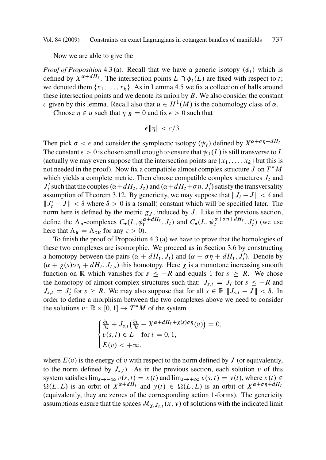Now we are able to give the

*Proof of Proposition* 4.3 (a). Recall that we have a generic isotopy  $(\phi_t)$  which is defined by  $X^{\alpha+dH_t}$ . The intersection points  $L \cap \phi_t(L)$  are fixed with respect to t; we denoted them  $\{x_1,\ldots,x_k\}$ . As in Lemma 4.5 we fix a collection of balls around these intersection points and we denote its union by  $B$ . We also consider the constant c given by this lemma. Recall also that  $u \in H^1(M)$  is the cohomology class of  $\alpha$ .

Choose  $\eta \in u$  such that  $\eta|_B = 0$  and fix  $\epsilon > 0$  such that

$$
\epsilon \|\eta\| < c/3.
$$

Then pick  $\sigma < \epsilon$  and consider the symplectic isotopy  $(\psi_t)$  defined by  $X^{\alpha+\sigma\eta+dH_t}$ . The constant  $\epsilon > 0$  is chosen small enough to ensure that  $\psi_1(L)$  is still transverse to L (actually we may even suppose that t[he in](#page-29-0)tersection points are  $\{x_1,\ldots,x_k\}$  but this is not needed in the proof). Now fix a compatible almost complex structure  $J$  on  $T^*M$ which yields a complete metric. Then choose compatible complex structures  $J_t$  and  $J'_t$  such that the couples  $(\alpha + dH_t, J_t)$  and  $(\alpha + dH_t + \sigma \eta, J'_t)$  satisfy the transversality<br>assumption of Theorem 3.12. By genericity, we may suppose that  $||I_t - I|| < \delta$  and assumption of Theorem 3.12. By genericity, we may suppose that  $||J_t - J|| < \delta$  and  $||J'_t - J|| < \delta$  where  $\delta > 0$  is a (small) constant which will be specified later. The norm here is defined by the metric  $g_t$ , induced by  $I$ . Like in the previous section norm here is defined by the metric  $g_J$ , induced by  $J$ . Like in the previous section, define the  $\Lambda_u$ -complexes  $C_\bullet(L, \phi_t^{\alpha+dH_t}, J_t)$  and  $C_\bullet(L, \psi_t^{\alpha+\sigma\eta+dH_t}, J_t')$  (we use here that  $\Lambda_u = \Lambda_{\tau u}$  for any  $\tau > 0$ ).<br>To finish the proof of Proposition

To finish the proof of Proposition 4.3 (a) we have to prove that the homologies of these two complexes are isomorphic. We proceed as in Section 3.6 by constructing a homotopy between the pairs  $(\alpha + dH_t, J_t)$  and  $(\alpha + \sigma \eta + dH_t, J_t')$ . Denote by  $(\alpha + \gamma(\epsilon)\sigma \eta + dH_t, J_t)$  this homotopy. Here x is a monotope increasing smooth  $(\alpha + \chi(s)\sigma\eta + dH_t, J_{t,s})$  this homotopy. Here  $\chi$  is a monotone increasing smooth function on R which vanishes for  $s \leq -R$  and equals 1 for  $s \geq R$ . We chose the homotopy of almost complex structures such that:  $J_{s,t} = J_t$  for  $s \leq -R$  and  $J_{s,t} = J'_t$  for  $s \ge R$ . We may also suppose that for all  $s \in \mathbb{R}$   $||J_{s,t} - J|| < \delta$ . In order to define a morphism between the two complexes above we need to consider order to define a morphism between the two complexes above we need to consider the solutions  $v : \mathbb{R} \times [0, 1] \rightarrow T^*M$  of the system

$$
\begin{cases} \frac{\partial v}{\partial s} + J_{s,t} \left( \frac{\partial v}{\partial t} - X^{\alpha + dH_t + \chi(s)\sigma\eta}(v) \right) = 0, \\ v(s, i) \in L \quad \text{for } i = 0, 1, \\ E(v) < +\infty, \end{cases}
$$

where  $E(v)$  is the energy of v with respect to the norm defined by J (or equivalently, to the norm defined by  $J_{s,t}$ ). As in the previous section, each solution v of this system satisfies  $\lim_{s\to-\infty} v(s,t) = x(t)$  and  $\lim_{s\to+\infty} v(s,t) = y(t)$ , where  $x(t) \in$  $\Omega(L, L)$  is an orbit of  $X^{\alpha+dH_t}$  and  $v(t) \in \Omega(L, L)$  is an orbit of  $X^{\alpha+\sigma\eta+dH_t}$ (equivalently, they are zeroes of the corresponding action 1-forms). The genericity assumptions ensure that the spaces  $\mathcal{M}_{\chi,J_{s,t}}(x, y)$  of solutions with the indicated limit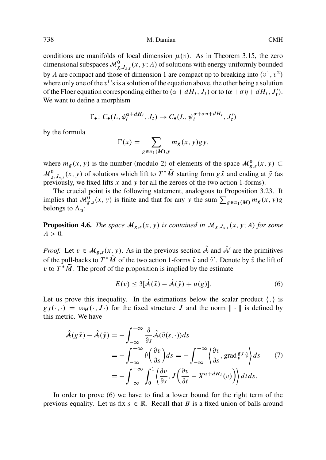conditions are manifolds of local dimension  $\mu(v)$ . As in Theorem 3.15, the zero dimensional subspaces  $\mathcal{M}^0_{\chi, J_{s,t}}(x, y; A)$  of solutions with energy uniformly bounded by A are compact and those of dimension 1 are compact up to breaking into  $(v^1, v^2)$ where only one of the  $v^i$ 's is a solution of the equation above, the other being a solution of the Floer equation corresponding either to  $(\alpha + dH_t, J_t)$  or to  $(\alpha + \sigma \eta + dH_t, J'_t)$ .<br>We want to define a morphism We want to define a morphism

$$
\Gamma_{\bullet} : C_{\bullet}(L, \phi_t^{\alpha + dH_t}, J_t) \to C_{\bullet}(L, \psi_t^{\alpha + \sigma \eta + dH_t}, J'_t)
$$

by the formula

$$
\Gamma(x) = \sum_{g \in \pi_1(M), y} m_g(x, y) gy,
$$

where  $m_g(x, y)$  is the number (modulo 2) of elements of the space  $\mathcal{M}_{g,s}^0(x, y) \subset$  $\mathcal{M}^0_{\chi, J_{s,t}}(x, y)$  of solutions which lift to  $T^*\tilde{M}$  starting form  $g\bar{x}$  and ending at  $\bar{y}$  (as previously we fixed lifts  $\bar{x}$  and  $\bar{y}$  for all the zeroes of the two action 1-forms) previously, we fixed lifts  $\bar{x}$  and  $\bar{y}$  for all the zeroes of the two action 1-forms).

The crucial point is the following statement, analogous to Proposition 3.23. It implies that  $\mathcal{M}_{g,s}^0(x, y)$  is finite and that for any y the sum  $\sum_{g \in \pi_1(M)} m_g(x, y)g$ belongs to  $\Lambda_u$ :

**Proposition 4.6.** *The space*  $\mathcal{M}_{g,s}(x, y)$  *is contained in*  $\mathcal{M}_{\chi, J_{s,t}}(x, y; A)$  *for some*  $A>0$ .

*Proof.* Let  $v \in M_{g,s}(x, y)$ . As in the previous section  $\hat{A}$  and  $\hat{A}'$  are the primitives of the pull-backs to  $T^*M$  of the two action 1-forms  $\hat{v}$  and  $\hat{v}'$ . Denote by  $\bar{v}$  the lift of  $v$  to  $T^*\tilde{M}$ . The proof of the proposition is implied by the estimate v to  $T^*M$ . The proof of the proposition is implied by the estimate

$$
E(v) \le 3[\hat{\mathcal{A}}(\bar{x}) - \hat{\mathcal{A}}(\bar{y}) + u(g)]. \tag{6}
$$

Let us prove this inequality. In the estimations below the scalar product  $\langle , \rangle$  is  $g_J(\cdot, \cdot) = \omega_M(\cdot, J \cdot)$  for the fixed structure J and the norm  $\|\cdot\|$  is defined by this metric. We have

$$
\hat{\mathcal{A}}(g\bar{x}) - \hat{\mathcal{A}}(\bar{y}) = -\int_{-\infty}^{+\infty} \frac{\partial}{\partial s} \hat{\mathcal{A}}(\bar{v}(s,\cdot)) ds \n= -\int_{-\infty}^{+\infty} \hat{v} \left(\frac{\partial v}{\partial s}\right) ds = -\int_{-\infty}^{+\infty} \left\langle \frac{\partial v}{\partial s}, \operatorname{grad}_{v}^{g} \hat{v} \right\rangle ds \qquad (7) \n= -\int_{-\infty}^{+\infty} \int_{0}^{1} \left\langle \frac{\partial v}{\partial s}, J\left(\frac{\partial v}{\partial t} - X^{\alpha + dH_{t}}(v)\right) \right\rangle dt ds.
$$

In order to prove (6) we have to find a lower bound for the right term of the previous equality. Let us fix  $s \in \mathbb{R}$ . Recall that B is a fixed union of balls around

<span id="page-33-0"></span>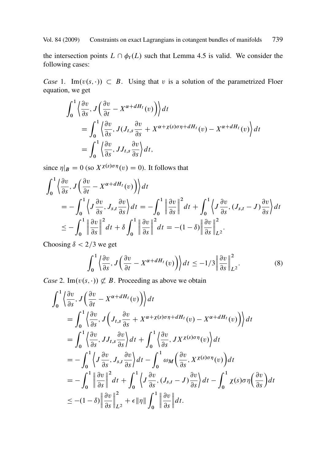the intersection points  $L \cap \phi_t(L)$  such that Lemma 4.5 is valid. We consider the following cases:

*Case* 1. Im $(v(s, \cdot)) \subset B$ . Using that v is a solution of the parametrized Floer equation, we get

$$
\int_0^1 \left\langle \frac{\partial v}{\partial s}, J \left( \frac{\partial v}{\partial t} - X^{\alpha + dH_t}(v) \right) \right\rangle dt
$$
  
= 
$$
\int_0^1 \left\langle \frac{\partial v}{\partial s}, J(J_{t,s} \frac{\partial v}{\partial s} + X^{\alpha + \chi(s)\sigma \eta + dH_t}(v) - X^{\alpha + dH_t}(v) \right\rangle dt
$$
  
= 
$$
\int_0^1 \left\langle \frac{\partial v}{\partial s}, JJ_{t,s} \frac{\partial v}{\partial s} \right\rangle dt,
$$

since  $\eta|B = 0$  (so  $X^{\chi(s)\sigma\eta}(v) = 0$ ). It follows that

$$
\int_{0}^{1} \left\langle \frac{\partial v}{\partial s}, J \left( \frac{\partial v}{\partial t} - X^{\alpha + dH_t}(v) \right) \right\rangle dt
$$
  
=  $-\int_{0}^{1} \left\langle J \frac{\partial v}{\partial s}, J_{s,t} \frac{\partial v}{\partial s} \right\rangle dt = -\int_{0}^{1} \left\| \frac{\partial v}{\partial s} \right\|^2 dt + \int_{0}^{1} \left\langle J \frac{\partial v}{\partial s}, (J_{s,t} - J) \frac{\partial v}{\partial s} \right\rangle dt$   
 $\leq -\int_{0}^{1} \left\| \frac{\partial v}{\partial s} \right\|^2 dt + \delta \int_{0}^{1} \left\| \frac{\partial v}{\partial s} \right\|^2 dt = -(1 - \delta) \left\| \frac{\partial v}{\partial s} \right\|^2_{L^2}.$ 

Choosing  $\delta < 2/3$  we get

$$
\int_0^1 \left\langle \frac{\partial v}{\partial s}, J \left( \frac{\partial v}{\partial t} - X^{\alpha + dH_t}(v) \right) \right\rangle dt \le -1/3 \left\| \frac{\partial v}{\partial s} \right\|_{L^2}^2. \tag{8}
$$

*Case* 2. Im $(v(s, \cdot)) \not\subset B$ . Proceeding as above we obtain

$$
\int_{0}^{1} \left\langle \frac{\partial v}{\partial s}, J \left( \frac{\partial v}{\partial t} - X^{\alpha + dH_t}(v) \right) \right\rangle dt
$$
\n
$$
= \int_{0}^{1} \left\langle \frac{\partial v}{\partial s}, J \left( J_{t,s} \frac{\partial v}{\partial s} + X^{\alpha + \chi(s)\sigma \eta + dH_t}(v) - X^{\alpha + dH_t}(v) \right) \right\rangle dt
$$
\n
$$
= \int_{0}^{1} \left\langle \frac{\partial v}{\partial s}, J_{t,s} \frac{\partial v}{\partial s} \right\rangle dt + \int_{0}^{1} \left\langle \frac{\partial v}{\partial s}, J_{t,s} \frac{\partial v}{\partial s} \right\rangle dt
$$
\n
$$
= -\int_{0}^{1} \left\langle J \frac{\partial v}{\partial s}, J_{s,t} \frac{\partial v}{\partial s} \right\rangle dt - \int_{0}^{1} \omega_M \left( \frac{\partial v}{\partial s}, X^{\chi(s)\sigma \eta}(v) \right) dt
$$
\n
$$
= -\int_{0}^{1} \left\| \frac{\partial v}{\partial s} \right\|^2 dt + \int_{0}^{1} \left\langle J \frac{\partial v}{\partial s}, (J_{s,t} - J) \frac{\partial v}{\partial s} \right\rangle dt - \int_{0}^{1} \chi(s)\sigma \eta \left( \frac{\partial v}{\partial s} \right) dt
$$
\n
$$
\leq -(1 - \delta) \left\| \frac{\partial v}{\partial s} \right\|^2_{L^2} + \epsilon \|\eta\| \int_{0}^{1} \left\| \frac{\partial v}{\partial s} \right\| dt.
$$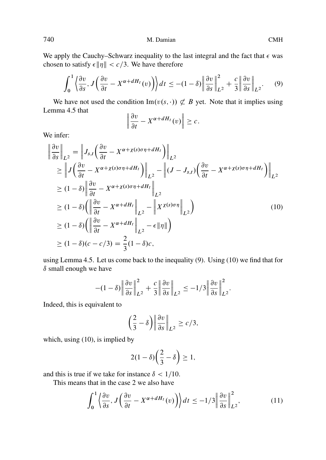We apply the Cauchy–Schwarz inequality to the last integral and the fact that  $\epsilon$  was chosen to satisfy  $\epsilon ||\eta|| < c/3$ . We have therefore

$$
\int_0^1 \left\langle \frac{\partial v}{\partial s}, J\left(\frac{\partial v}{\partial t} - X^{\alpha + dH_t}(v)\right) \right\rangle dt \le -(1 - \delta) \left\| \frac{\partial v}{\partial s} \right\|_{L^2}^2 + \frac{c}{3} \left\| \frac{\partial v}{\partial s} \right\|_{L^2}.
$$
 (9)

We have not used the condition  $\text{Im}(v(s, \cdot)) \not\subset B$  yet. Note that it implies using nma 4.5 that Lemma 4.5 that

$$
\left\|\frac{\partial v}{\partial t} - X^{\alpha + dH_t}(v)\right\| \geq c.
$$

We infer:

$$
\begin{aligned}\n\left\| \frac{\partial v}{\partial s} \right\|_{L^2} &= \left\| J_{s,t} \left( \frac{\partial v}{\partial t} - X^{\alpha + \chi(s)\sigma \eta + dH_t} \right) \right\|_{L^2} \\
&\geq \left\| J \left( \frac{\partial v}{\partial t} - X^{\alpha + \chi(s)\sigma \eta + dH_t} \right) \right\|_{L^2} - \left\| (J - J_{s,t}) \left( \frac{\partial v}{\partial t} - X^{\alpha + \chi(s)\sigma \eta + dH_t} \right) \right\|_{L^2} \\
&\geq (1 - \delta) \left\| \frac{\partial v}{\partial t} - X^{\alpha + \chi(s)\sigma \eta + dH_t} \right\|_{L^2} \\
&\geq (1 - \delta) \left( \left\| \frac{\partial v}{\partial t} - X^{\alpha + dH_t} \right\|_{L^2} - \left\| X^{\chi(s)\sigma \eta} \right\|_{L^2} \right) \\
&\geq (1 - \delta) \left( \left\| \frac{\partial v}{\partial t} - X^{\alpha + dH_t} \right\|_{L^2} - \epsilon \|\eta\| \right) \\
&\geq (1 - \delta)(c - c/3) = \frac{2}{3}(1 - \delta)c,\n\end{aligned}
$$
\n(10)

using Lemma 4.5. Let us come back to the inequality (9). Using (10) we find that for  $\delta$  small enough we have

$$
-(1-\delta)\left\|\frac{\partial v}{\partial s}\right\|_{L^2}^2 + \frac{c}{3}\left\|\frac{\partial v}{\partial s}\right\|_{L^2} \le -1/3\left\|\frac{\partial v}{\partial s}\right\|_{L^2}^2.
$$

Indeed, this is equivalent to

$$
\left(\frac{2}{3} - \delta\right) \left\| \frac{\partial v}{\partial s} \right\|_{L^2} \ge c/3,
$$

which, using (10), is implied by

$$
2(1-\delta)\left(\frac{2}{3}-\delta\right)\geq 1,
$$

and this is true if we take for instance  $\delta$  < 1/10.

This means that in the case 2 we also have

$$
\int_0^1 \left\langle \frac{\partial v}{\partial s}, J \left( \frac{\partial v}{\partial t} - X^{\alpha + dH_t}(v) \right) \right\rangle dt \le -1/3 \left\| \frac{\partial v}{\partial s} \right\|_{L^2}^2, \tag{11}
$$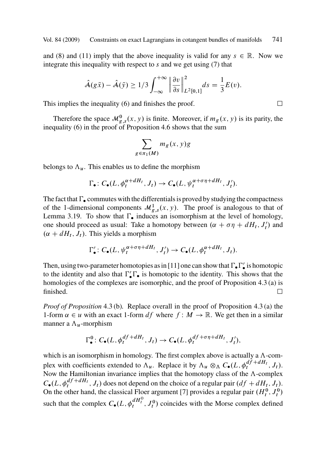an[d](#page-33-0) [\(](#page-33-0)8) and (11) imply that the above i[nequ](#page-33-0)ality is valid for any  $s \in \mathbb{R}$ . Now we integrate this inequality with respect to s and we get using (7) that

$$
\hat{\mathcal{A}}(g\bar{x}) - \hat{\mathcal{A}}(\bar{y}) \ge 1/3 \int_{-\infty}^{+\infty} \left\| \frac{\partial v}{\partial s} \right\|_{L^2[0,1]}^2 ds = \frac{1}{3} E(v).
$$

This implies the inequality (6) and finishes the proof.

Therefore the space  $\mathcal{M}_{g,s}^0(x, y)$  is finite. Moreover, if  $m_g(x, y)$  is its parity, the inequality (6) in the proof of Proposition 4.6 shows that the sum

$$
\sum_{\in \pi_1(M)} m_g(x, y)g
$$

belongs to  $\Lambda_u$ . This enables us to define the morphism

 $\mathcal{L}$ 

$$
\Gamma_{\bullet} \colon C_{\bullet}(L, \phi_t^{\alpha + dH_t}, J_t) \to C_{\bullet}(L, \psi_t^{\alpha + \sigma \eta + dH_t}, J'_t).
$$

The fact that  $\Gamma_{\bullet}$  commutes with the differentials is proved by studying the compactness of the 1-dimensional components  $\mathcal{M}_{g,s}^1(x, y)$ . The proof is analogous t[o th](#page-29-0)at of Lemma 3.19. To show that  $\Gamma_{\bullet}$  induces an isomorphism at the level of homology, one should proceed as usual: Take a homotopy between  $(\alpha + \sigma \eta + dH_t, J'_t)$  $(\alpha + \sigma \eta + dH_t, J'_t)$  $(\alpha + \sigma \eta + dH_t, J'_t)$  and  $(\alpha + dH_t, L)$ . This vields a morphism  $(\alpha + dH_t, J_t)$ . This [yiel](#page-29-0)ds a morphism

$$
\Gamma'_{\bullet} \colon C_{\bullet}(L, \psi_t^{\alpha+\sigma\eta+dH_t}, J'_t) \to C_{\bullet}(L, \phi_t^{\alpha+dH_t}, J_t).
$$

Then, using two-parameter homotopies as in [11] one can show that  $\Gamma_{\bullet} \Gamma'_{\bullet}$  is homotopic<br>to the identity and also that  $\Gamma' \Gamma_{\bullet}$  is homotopic to the identity. This shows that the to the identity and also that  $\Gamma'_{\bullet} \Gamma_{\bullet}$  is homotopic to the identity. This shows that the homologies of the complexes are isomorphic, and the proof of Proposition 4.3(a) is homologies of the complexes are isomorphic, and the proof of Proposition 4.3 (a) is finished.  $\Box$ 

*Proof of Proposition* 4.3 (b)*.* Replace overall in the proof of Proposition 4.3 (a) the 1-form  $\alpha \in u$  with an exact 1-form df where  $f : M \to \mathbb{R}$ . [W](#page-40-0)e get then in a similar manner a  $\Lambda_u$ -morphism

$$
\Gamma_{\bullet}^{0}: C_{\bullet}(L, \phi_{t}^{df+dH_{t}}, J_{t}) \to C_{\bullet}(L, \phi_{t}^{df+\sigma\eta+dH_{t}}, J_{t}'),
$$

which is an isomorphism in homology. The first complex above is actually a  $\Lambda$ -complex with coefficients extended to  $\Lambda_u$ . Replace it by  $\Lambda_u \otimes_{\Lambda} C_{\bullet}(L, \phi_t^{df+ dH_t}, J_t)$ .<br>Now the Hamiltonian invariance implies that the homotopy class of the  $\Lambda$ -complex Now the Hamiltonian invariance implies that the homotopy class of the  $\Lambda$ -complex  $C_{\bullet}(L, \phi_t^{df+dH_t}, J_t)$  does not depend on the choice of a regular pair  $(df + dH_t, J_t)$ .<br>On the other hand, the classical Eloer aroument [7] provides a regular pair  $(H^0, I^0)$ On the other hand, the classical Floer argument [7] provides a regular pair  $(H_t^0, J_t^0)$ such that the complex  $C_{\bullet}(L, \phi_t^{dH_t^0}, J_t^0)$  coincides with the Morse complex defined

 $\Box$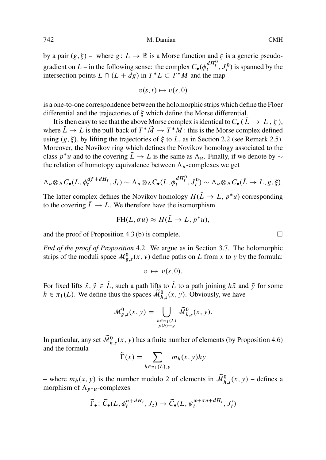by a pair  $(g, \xi)$  – where  $g: L \to \mathbb{R}$  is a Morse function and  $\xi$  is a generic pseudogradient on  $L$  – in [th](#page-5-0)e following sense: the complex  $C_{\bullet}(\phi_t^{dH_t^0}, J_t^0)$  is spanned b[y](#page-5-0) the intersection points  $L \cap (L + dg)$  in  $T^*L \subset T^*M$  and the map

$$
v(s,t)\mapsto v(s,0)
$$

is a one-to-one correspondence between the holomorphic strips which define the Floer differential and the trajectories of  $\xi$  which define the Morse differential.

It is then easy to see that the above Morse complex is identical to  $C_{\bullet}$  ( $\overline{L}\rightarrow L$ ,  $\xi$ ), where  $L \to L$  is the pull-back of  $T^*M \to T^*M$ : this is the Morse complex defined<br>using  $(a, \xi)$  by lifting the trajectories of  $\xi$  to  $\overline{L}$  as in Section 2.2 (see Remark 2.5) using  $(g, \xi)$ , by lifting the trajectories of  $\xi$  to L, as in Section 2.2 (see Remark 2.5). Moreover, the Novikov ring which defines the Novikov homology associated to the class  $p^*u$  and to the covering  $L \to L$  $L \to L$  is the same as  $\Lambda_u$ . Finally, if we denote by  $\sim$ <br>the relation of homotopy equivalence between  $\Lambda$ , complexes we get the relation of homotopy equivalence between  $\Lambda_u$ -complexes we get

$$
\Lambda_u \otimes_{\Lambda} C_{\bullet}(L, \phi_t^{df+ dH_t}, J_t) \sim \Lambda_u \otimes_{\Lambda} C_{\bullet}(L, \phi_t^{dH_t^0}, J_t^0) \sim \Lambda_u \otimes_{\Lambda} C_{\bullet}(\bar{L} \to L, g, \xi).
$$

The latter complex defines the Novikov homology  $H(L \to L, p^*u)$  corresponding<br>to the covering  $\overline{L} \to L$ . We therefore have the isomorphism to the covering  $\bar{L} \rightarrow L$ . We therefore have the isomorphism

$$
\overline{\text{FH}}(L, \sigma u) \approx H(L \to L, p^* u),
$$

and the proof of Proposition 4.3 (b) is complete.  $\Box$ 

*End of the proof of Proposition* 4.2. We argue as in Section 3.7. The holomorphic strips of the moduli space  $\mathcal{M}_{g,s}^0(x, y)$  define paths on L from x to y by the formula:

$$
v \mapsto v(s,0).
$$

For fixed lifts  $\tilde{x},\tilde{y}\in\tilde{L}$ , such a path lifts to  $\tilde{L}$  to a path joining  $h\tilde{x}$  and  $\tilde{y}$  for some  $h \in \pi_1(L)$ . We define thus the spaces  $\widetilde{\mathcal{M}}_{h,s}^0(x, y)$ . Obviously, we have

$$
\mathcal{M}_{g,s}^0(x,y) = \bigcup_{h \in \pi_1(L) \atop p(h)=g} \widetilde{\mathcal{M}}_{h,s}^0(x,y).
$$

In particular, any set  $\widetilde{\mathcal{M}}_{h,s}^0(x, y)$  has a finite number of elements (by Proposition 4.6) and the formula

$$
\widetilde{\Gamma}(x) = \sum_{h \in \pi_1(L), y} m_h(x, y) hy
$$

– where  $m_h(x, y)$  is the number modulo 2 of elements in  $\widetilde{\mathcal{M}}_{h,s}^0(x, y)$  – defines a morphism of  $\Lambda_{p^*u}$ -complexes

$$
\widetilde{\Gamma}_{\bullet} : \widetilde{C}_{\bullet}(L, \phi_t^{\alpha + dH_t}, J_t) \to \widetilde{C}_{\bullet}(L, \psi_t^{\alpha + \sigma \eta + dH_t}, J'_t)
$$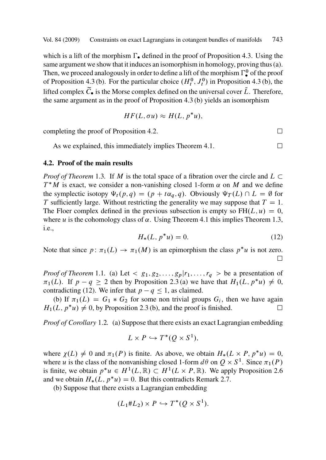which is a lift of the morphism  $\Gamma_{\bullet}$  d[efine](#page-28-0)d in the proof of Proposition 4.3. Using the same argument we show that it induces an isomorphism in homology, proving thus (a). T[he](#page-28-0)n, we proceed analogously in order to define a lift of the [m](#page-28-0)orphism  $\Gamma^0$  of the proof<br>of Proposition 4.3 (b) For the particular choice ( $H^0$ ,  $I^0$ ) in Proposition 4.3 (b) the of Proposition 4.3 (b). For the particular choice  $(H_t^0, J_t^0)$  in Proposition 4.3 (b), the lifted complex  $\tilde{C}_{\bullet}$  is the Morse complex defined on the universal cover  $\tilde{L}$ . Therefore, the same argume[nt as](#page-2-0) in the proof of Proposition 4.3 (b) yields an isomorphism

$$
HF(L, \sigma u) \approx H(L, p^*u),
$$

completing the proof of Proposition 4.2.  $\Box$ 

As we explained, this i[m](#page-28-0)mediately implies Theorem [4.1](#page-28-0).  $\Box$ 

#### **4.2. Proof of the main results**

*Proof of Theorem* 1.3. If *M* is the total space of a fibration over the circle and  $L \subset T^*M$  is exact, we consider a non-vanishing closed 1-form  $\alpha$  on *M* and we define  $T^*M$  is exact, we consider a non-vanishing closed 1-form  $\alpha$  on M and we define the symplectic is[otopy](#page-1-0)  $\Psi_t(p,q) = (p + t\alpha_q, q)$ . Obviously  $\Psi_T(L) \cap L = \emptyset$  for T sufficiently large. Without restricting the [gen](#page-3-0)erality we may suppose that  $T = 1$ . The Floer complex defined in the previous subsection is empty so  $FH(L, u) = 0$ , where  $u$  is the cohomology class of  $\alpha$ . Using Theorem 4.1 this implies Theorem 1.3, i.e.,

$$
H_*(L, p^*u) = 0.
$$
 (12)

Note that since  $p: \pi_1(L) \to \pi_1(M)$  is an epimorphism the class  $p^*u$  is not zero.  $\Box$ 

*Proof of Theorem* 1.1. (a) Let  $\langle g_1, g_2, \ldots, g_p | r_1, \ldots, r_q \rangle$  be a presentation of  $\pi_1(L)$ . If  $p - q \ge 2$  then by Proposition 2.3 (a) we have that  $H_1(L, p^*u) \ne 0$ ,<br>contradicting (12). We infer that  $n - a \le 1$  as claimed contradicting (12). We infer that  $p - q \le 1$ , as claimed.

(b) If  $\pi_1(L) = G_1 * G_2$  for some non trivial groups  $G_i$ , then we have a[gain](#page-5-0)  $(L_n * u) \neq 0$  by Proposition 2.3(b) and the proof is finished  $H_1(L, p^*u) \neq 0$ , by Proposition 2.3 (b), and the proof is fini[shed](#page-5-0).  $\square$ 

*Proof of Corollary* 1.2*.* (a) Suppose that there exists an exact Lagrangian embedding

$$
L \times P \hookrightarrow T^*(Q \times S^1),
$$

where  $\chi(L) \neq 0$  and  $\pi_1(P)$  is finite. As above, we obtain  $H_*(L \times P, p^*u) = 0$ ,<br>where u is the class of the nonvanishing closed 1-form  $d\theta$  on  $Q \times S^1$ . Since  $\pi_*(P)$ where u is the class of the nonvanishing closed 1-form  $d\theta$  on  $Q \times S^1$ . Since  $\pi_1(P)$ <br>is finite we obtain  $n^*u \in H^1(I \mathbb{R}) \subset H^1(I \times P \mathbb{R})$ . We apply Proposition 2.6 is finite, we obtain  $p^*u \in H^1(L, \mathbb{R}) \subset H^1(L \times P, \mathbb{R})$ . We apply Proposition 2.6 and we obtain  $H_*(L, p^*u) = 0$ . But this contradicts Remark 2.7.<br>(b) Suppose that there exists a Lagrangian embedding

(b) Suppose that there exists a Lagrangian embedding

$$
(L_1 \# L_2) \times P \hookrightarrow T^*(Q \times S^1).
$$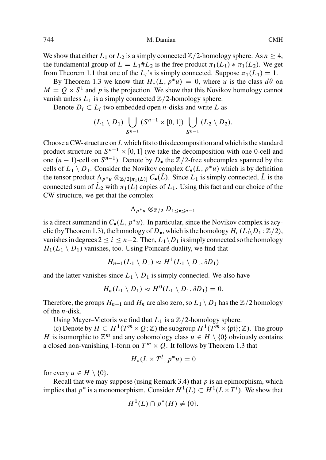We show that either  $L_1$  or  $L_2$  is a simply connected  $\mathbb{Z}/2$ -homology sphere. As  $n \geq 4$ , the fundamental group of  $L = L_1 # L_2$  is the free product  $\pi_1(L_1) * \pi_1(L_2)$ . We get<br>from Theorem 1.1 that one of the Li's is simply connected. Suppose  $\pi_1(L_1) = 1$ from Theorem 1.1 that one of the  $L_i$ 's is simply connected. Suppose  $\pi_1(L_1) = 1$ .<br>By Theorem 1.3 we know that  $H_i(L_n, n^*u) = 0$  where u is the class defici-

By Theorem 1.3 we know that  $H_*(L, p^*u) = 0$ , where u is the class  $d\theta$  on  $-\Omega \times S^1$  and n is the projection. We show that this Novikov homology cannot  $M = Q \times S<sup>1</sup>$  and p is the projection. We show that this Novikov homology cannot vanish unless  $L_1$  is a simply connected  $\mathbb{Z}/2$ -homology sphere.

Denote  $D_i \subset L_i$  two embedded open *n*-disks and write L as

$$
(L_1 \setminus D_1) \bigcup_{S^{n-1}} (S^{n-1} \times [0,1]) \bigcup_{S^{n-1}} (L_2 \setminus D_2).
$$

Choose a CW-structure on  $L$  which fits to this decomposition and which is the standard product structur[e on](#page-2-0)  $S^{n-1} \times [0, 1]$  (we take the decomposition with one 0-cell and one  $(n - 1)$ -cell on  $S^{n-1}$ ). Denote by  $D_{\bullet}$  the  $\mathbb{Z}/2$ -free subcomplex spanned by the cells of  $L_1 \setminus D_1$ . Consider the Novikov complex  $C_{\bullet}(L, p^*u)$  which is by definition<br>the tensor product  $\Lambda_{\bullet} \otimes \pi$  (x)  $C(\tilde{L})$ . Since L<sub>s</sub> is simply connected  $\tilde{L}$  is the the tensor product  $\Lambda_{p^*u} \otimes_{\mathbb{Z}/2[\pi_1(L)]} C_{\bullet}(L)$ . Since  $L_1$  is simply connected, L is the connected sum of  $\tilde{L}$ , with  $\pi_n(L)$  conjected L is used for and our choice of the connected sum of  $L_2$  with  $\pi_1(L)$  copies of  $L_1$ . Using this fact and our choice of the CW-structure, we get that the complex

$$
\Lambda_{p^*u}\otimes_{\mathbb{Z}/2}D_{1\leq \bullet\leq n-1}
$$

is a direct summand in  $C_{\bullet}(L, p^*u)$ . In particular, since the Novikov complex is acy-<br>alia (by Theorem 1.2), the homology of D, which is the homology  $H_{\bullet}(L \setminus D_{\bullet} : \mathbb{Z}/2)$ clic (by Theorem 1.3), the homology of  $D_{\bullet}$ , which is the homology  $H_i$  ( $L_1\backslash D_1$ ;  $\mathbb{Z}/2$ ), vanishes in degrees  $2 \le i \le n-2$ . Then,  $L_1 \backslash D_1$  is simply connected so the homology  $H_1(L_1 \setminus D_1)$  vanishes, too. Using Poincaré duality, we find that

$$
H_{n-1}(L_1 \setminus D_1) \approx H^1(L_1 \setminus D_1, \partial D_1)
$$

and the latter vanishes since  $L_1 \setminus D_1$  is simply connected. We also [hav](#page-2-0)e

$$
H_n(L_1 \setminus D_1) \approx H^0(L_1 \setminus D_1, \partial D_1) = 0.
$$

Therefore, the groups  $H_{n-1}$  and  $H_n$  are also ze[ro, s](#page-8-0)o  $L_1 \setminus D_1$  has the  $\mathbb{Z}/2$  homology of the n-disk.

Using Mayer–Vietoris we find that  $L_1$  is a  $\mathbb{Z}/2$ -homology sphere.

(c) Denote by  $H \subset H^1(T^m \times Q; \mathbb{Z})$  the subgroup  $H^1(T^m \times \{pt\}; \mathbb{Z})$ . The group H is isomorphic to  $\mathbb{Z}^m$  and any cohomology class  $u \in H \setminus \{0\}$  obviously contains a closed non-vanishing 1-form on  $T^m \times Q$ . It follows by Theorem 1.3 that

$$
H_*(L \times T^l, p^*u) = 0
$$

for every  $u \in H \setminus \{0\}.$ 

Recall that we may suppose (using Remark 3.4) that  $p$  is an epimorphism, which implies that  $p^*$  is a monomorphism. Consider  $H^1(L) \subset H^1(L \times T^l)$ . We show that

$$
H^1(L) \cap p^*(H) \neq \{0\}.
$$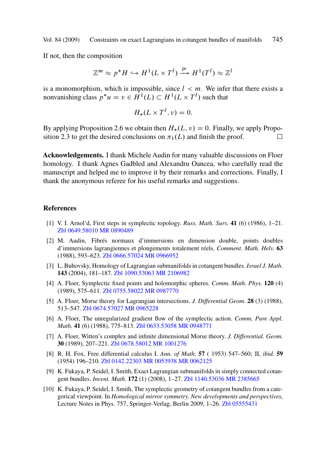<span id="page-40-0"></span>If not[, the](#page-3-0)n the composit[ion](#page-5-0)

$$
\mathbb{Z}^m \approx p^* H \hookrightarrow H^1(L \times T^l) \xrightarrow{\text{pr}} H^1(T^l) \approx \mathbb{Z}^l
$$

is a monomorphism, which is impossible, since  $l < m$ . We infer that there exists a nonvanishing class  $p^*u = v \in H^1(L) \subset H^1(L \times T^l)$  such that

$$
H_*(L \times T^l, v) = 0.
$$

By applying Proposition 2.6 we obtain then  $H_*(L, v) = 0$ . Finally, we apply Proposition 2.3 to get the desired conclusions on  $\pi_L(L)$  and finish the proof sition 2.3 to get the desired conclusions on  $\pi_1(L)$  and finish the proof.  $\Box$ 

**Ack[nowledgement](http://www.emis.de/MATH-item?0649.58010)s.** [I thank M](http://www.ams.org/mathscinet-getitem?mr=0890489)ichele Audin for many valuable discussions on Floer homology. I thank Agnes Gadbled and Alexandru Oancea, who carefully read the manuscript and helped me to improve it by their remarks and corrections. Finally, I thank the anonymou[s referee for hi](http://www.emis.de/MATH-item?0666.57024)[s useful rema](http://www.ams.org/mathscinet-getitem?mr=0966952)rks and suggestions.

#### **References**

- [1] V. I. Arnol'd, First steps in symplectic topology. *Russ. Math. Surv.* **41** (6) (1986), 1–21. Zbl 0649.[58010 MR 0890](http://www.emis.de/MATH-item?0674.57027)[489](http://www.ams.org/mathscinet-getitem?mr=0965228)
- [2] M. Audin, Fibrés normaux d'immersions en dimension double, points doubles d'immersions lagrangiennes e[t plongements to](http://www.emis.de/MATH-item?0633.53058)[talement réels](http://www.ams.org/mathscinet-getitem?mr=0948771). *Comment. Math. Helv.* **63** (1988), 593–623. Zbl 0666.57024 MR 0966952
- [3] L. Buhovsky, Homol[ogy of Lagrangia](http://www.emis.de/MATH-item?0678.58012)[n submanifold](http://www.ams.org/mathscinet-getitem?mr=1001276)s in cotangent bundles. *Israel J. Math.* **143** (2004), 181–187. Zbl 1090.53063 MR 2106982
- [4] A. Floer, Sympl[ectic fixed points](http://www.emis.de/MATH-item?0142.22303) [and holomor](http://www.ams.org/mathscinet-getitem?mr=0053938)[phic spheres.](http://www.ams.org/mathscinet-getitem?mr=0062125) *Comm. Math. Phys.* **120** (4) (1989), 575–611. Zbl 0755.58022 MR 0987770
- [5] A. Floer, Morse theory for Lagrangian intersections. *[J. Differentia](http://www.emis.de/MATH-item?1140.53036)[l Geom.](http://www.ams.org/mathscinet-getitem?mr=2385665)* **28** (3) (1988), 513–547. Zbl 0674.57027 MR 0965228
- [6] A. Floer, The unregularized gradient flow of the symplectic action. *Comm. Pure Appl. Math.* **41** (6) (1988), 775–813. Zbl 0633.53058 MR 0948771
- [7] A. Floer, Witten's complex and infinite dimensional Morse theory. *J. Differential. Geom.* **30** (1989), 207–221. Zbl 0678.58012 MR 1001276
- [8] R. H. Fox, Free differential calculus I. *Ann. of Math.* **57** ( 1953) 547–560; II, *ibid.* **59** (1954) 196–210. Zbl 0142.22303 MR 0053938 MR 0062125
- [9] K. Fukaya, P. Seidel, I. Smith, Exact Lagrangian submanifolds in simply connected cotangent bundles. *Invent. Math.* **172** (1) (2008), 1–27. Zbl 1140.53036 MR 2385665
- [10] K. Fukaya, P. Seidel, I. Smith, The symplectic geometry of cotangent bundles from a categorical viewpoint. In *Homological mirror symmetry. New developments and perspectives*, Lecture Notes in Phys. 757, Springer-Verlag, Berlin 2009, 1–26. Zbl 05555431